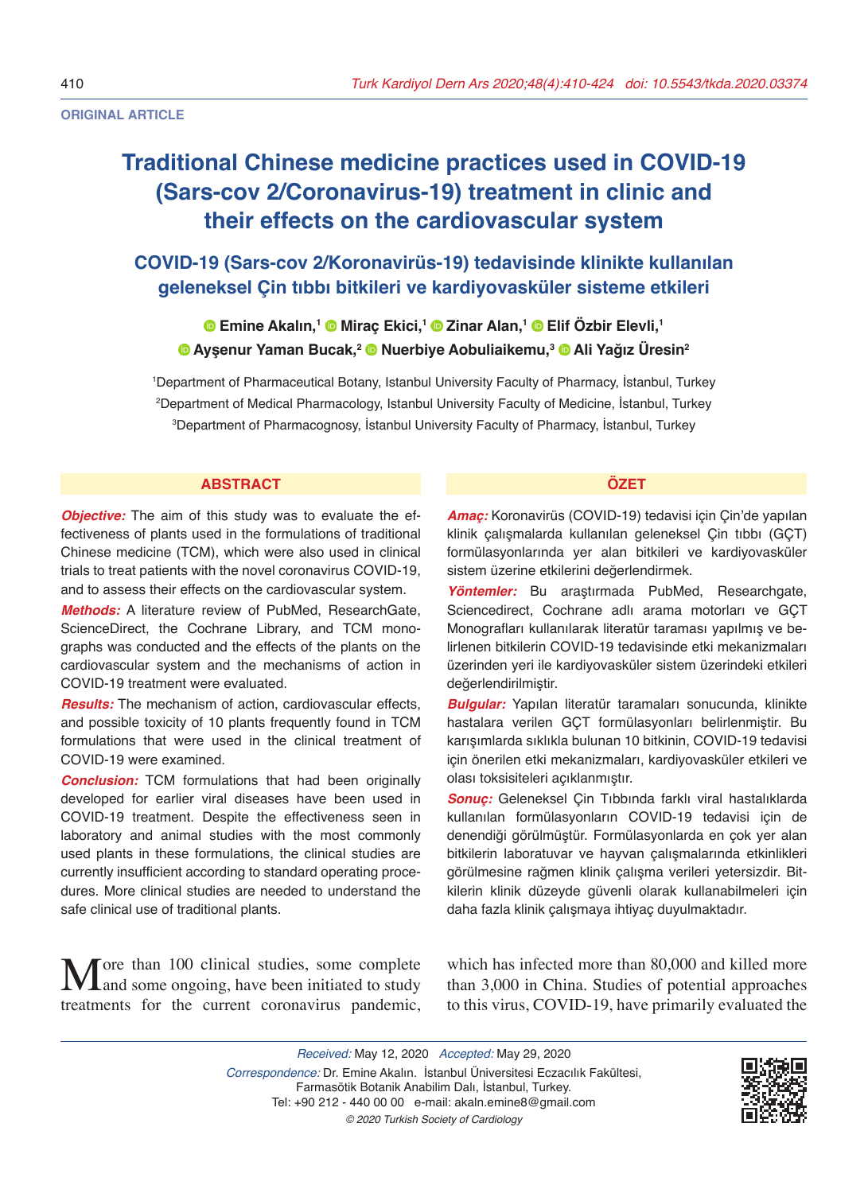**ORIGINAL ARTICLE** 

# **Traditional Chinese medicine practices used in COVID-19 (Sars-cov 2/Coronavirus-19) treatment in clinic and their effects on the cardiovascular system**

# **COVID-19 (Sars-cov 2/Koronavirüs-19) tedavisinde klinikte kullanılan geleneksel Çin tıbbı bitkileri ve kardiyovasküler sisteme etkileri**

## **Emine Akalın,<sup>1</sup> Miraç Ekici,<sup>1</sup> Zinar Alan,<sup>1</sup> Elif Özbir Elevli,<sup>1</sup> Ayşenur Yaman Bucak,<sup>2</sup> Nuerbiye Aobuliaikemu,<sup>3</sup> Ali Yağız Üresin<sup>2</sup>**

1 Department of Pharmaceutical Botany, Istanbul University Faculty of Pharmacy, İstanbul, Turkey 2 Department of Medical Pharmacology, Istanbul University Faculty of Medicine, İstanbul, Turkey 3 Department of Pharmacognosy, İstanbul University Faculty of Pharmacy, İstanbul, Turkey

#### **ABSTRACT ÖZET**

**Objective:** The aim of this study was to evaluate the effectiveness of plants used in the formulations of traditional Chinese medicine (TCM), which were also used in clinical trials to treat patients with the novel coronavirus COVID-19, and to assess their effects on the cardiovascular system.

*Methods:* A literature review of PubMed, ResearchGate, ScienceDirect, the Cochrane Library, and TCM monographs was conducted and the effects of the plants on the cardiovascular system and the mechanisms of action in COVID-19 treatment were evaluated.

*Results:* The mechanism of action, cardiovascular effects, and possible toxicity of 10 plants frequently found in TCM formulations that were used in the clinical treatment of COVID-19 were examined.

*Conclusion:* TCM formulations that had been originally developed for earlier viral diseases have been used in COVID-19 treatment. Despite the effectiveness seen in laboratory and animal studies with the most commonly used plants in these formulations, the clinical studies are currently insufficient according to standard operating procedures. More clinical studies are needed to understand the safe clinical use of traditional plants.

More than 100 clinical studies, some complete<br>tractments for the sumpt comparison and prior treatments for the current coronavirus pandemic,

*Amaç:* Koronavirüs (COVID-19) tedavisi için Çin'de yapılan klinik çalışmalarda kullanılan geleneksel Çin tıbbı (GÇT) formülasyonlarında yer alan bitkileri ve kardiyovasküler sistem üzerine etkilerini değerlendirmek.

*Yöntemler:* Bu araştırmada PubMed, Researchgate, Sciencedirect, Cochrane adlı arama motorları ve GÇT Monografları kullanılarak literatür taraması yapılmış ve belirlenen bitkilerin COVID-19 tedavisinde etki mekanizmaları üzerinden yeri ile kardiyovasküler sistem üzerindeki etkileri değerlendirilmiştir.

*Bulgular:* Yapılan literatür taramaları sonucunda, klinikte hastalara verilen GÇT formülasyonları belirlenmiştir. Bu karışımlarda sıklıkla bulunan 10 bitkinin, COVID-19 tedavisi için önerilen etki mekanizmaları, kardiyovasküler etkileri ve olası toksisiteleri açıklanmıştır.

*Sonuç:* Geleneksel Çin Tıbbında farklı viral hastalıklarda kullanılan formülasyonların COVID-19 tedavisi için de denendiği görülmüştür. Formülasyonlarda en çok yer alan bitkilerin laboratuvar ve hayvan çalışmalarında etkinlikleri görülmesine rağmen klinik çalışma verileri yetersizdir. Bitkilerin klinik düzeyde güvenli olarak kullanabilmeleri için daha fazla klinik çalışmaya ihtiyaç duyulmaktadır.

which has infected more than 80,000 and killed more than 3,000 in China. Studies of potential approaches to this virus, COVID-19, have primarily evaluated the

*Received:* May 12, 2020 *Accepted:* May 29, 2020 *Correspondence:* Dr. Emine Akalın. İstanbul Üniversitesi Eczacılık Fakültesi, Farmasötik Botanik Anabilim Dalı, İstanbul, Turkey. Tel: +90 212 - 440 00 00 e-mail: akaln.emine8@gmail.com *© 2020 Turkish Society of Cardiology*

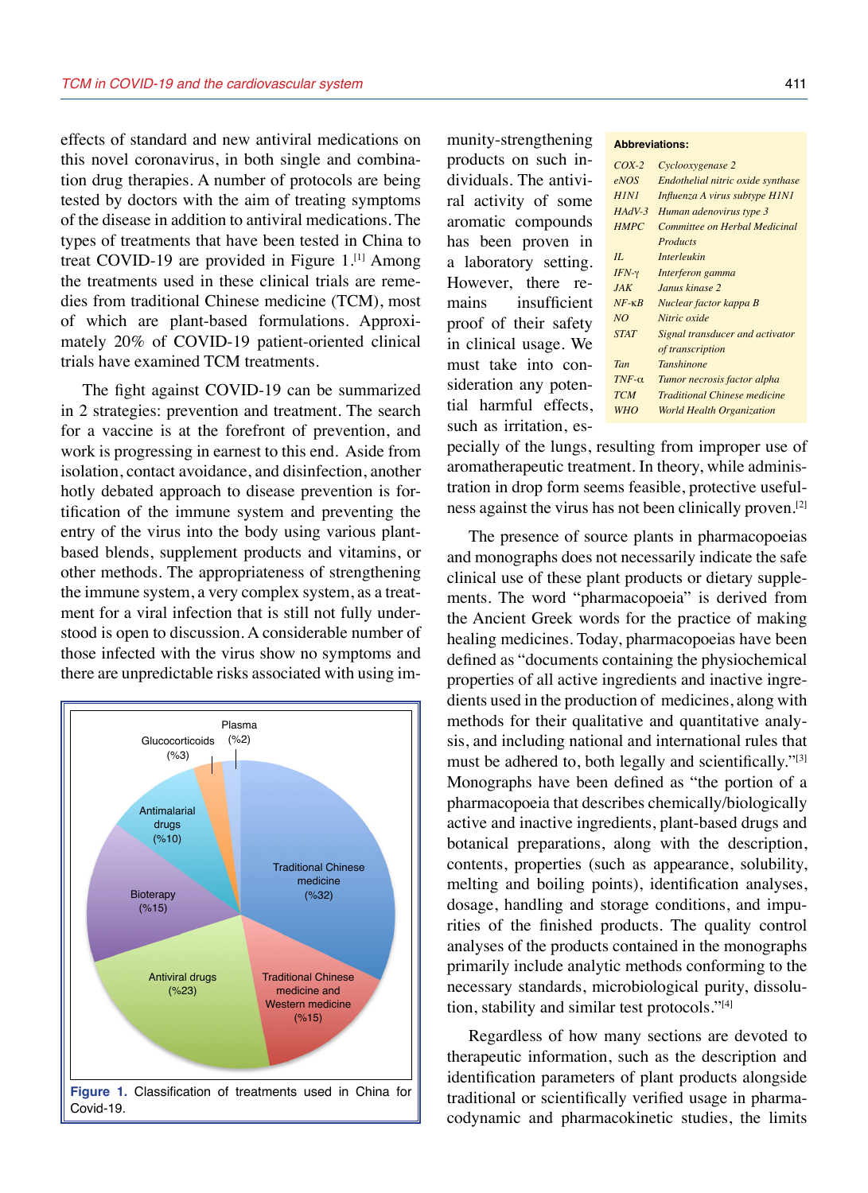effects of standard and new antiviral medications on this novel coronavirus, in both single and combination drug therapies. A number of protocols are being tested by doctors with the aim of treating symptoms of the disease in addition to antiviral medications. The types of treatments that have been tested in China to treat COVID-19 are provided in Figure 1.<sup>[1]</sup> Among the treatments used in these clinical trials are remedies from traditional Chinese medicine (TCM), most of which are plant-based formulations. Approximately 20% of COVID-19 patient-oriented clinical trials have examined TCM treatments.

The fight against COVID-19 can be summarized in 2 strategies: prevention and treatment. The search for a vaccine is at the forefront of prevention, and work is progressing in earnest to this end. Aside from isolation, contact avoidance, and disinfection, another hotly debated approach to disease prevention is fortification of the immune system and preventing the entry of the virus into the body using various plantbased blends, supplement products and vitamins, or other methods. The appropriateness of strengthening the immune system, a very complex system, as a treatment for a viral infection that is still not fully understood is open to discussion. A considerable number of those infected with the virus show no symptoms and there are unpredictable risks associated with using im-



munity-strengthening products on such individuals. The antiviral activity of some aromatic compounds has been proven in a laboratory setting. However, there remains insufficient proof of their safety in clinical usage. We must take into consideration any potential harmful effects, such as irritation, es-

#### **Abbreviations:**

| $COX-2$          | Cyclooxygenase 2                    |
|------------------|-------------------------------------|
| eNOS             | Endothelial nitric oxide synthase   |
| <b>HINI</b>      | Influenza A virus subtype H1N1      |
| $HAdV-3$         | Human adenovirus type 3             |
| <b>HMPC</b>      | Committee on Herbal Medicinal       |
|                  | Products                            |
| II               | <i>Interleukin</i>                  |
| $IFN-\gamma$     | Interferon gamma                    |
| JAK              | Janus kinase 2                      |
| $NF - \kappa R$  | Nuclear factor kappa B              |
| NO               | Nitric oxide                        |
| <b>STAT</b>      | Signal transducer and activator     |
|                  | of transcription                    |
| Tan              | <b>Tanshinone</b>                   |
| $TNF$ - $\alpha$ | Tumor necrosis factor alpha         |
| <b>TCM</b>       | <b>Traditional Chinese medicine</b> |
| WHO              | <b>World Health Organization</b>    |
|                  |                                     |

pecially of the lungs, resulting from improper use of aromatherapeutic treatment. In theory, while administration in drop form seems feasible, protective usefulness against the virus has not been clinically proven.[2]

The presence of source plants in pharmacopoeias and monographs does not necessarily indicate the safe clinical use of these plant products or dietary supplements. The word "pharmacopoeia" is derived from the Ancient Greek words for the practice of making healing medicines. Today, pharmacopoeias have been defined as "documents containing the physiochemical properties of all active ingredients and inactive ingredients used in the production of medicines, along with methods for their qualitative and quantitative analysis, and including national and international rules that must be adhered to, both legally and scientifically."<sup>[3]</sup> Monographs have been defined as "the portion of a pharmacopoeia that describes chemically/biologically active and inactive ingredients, plant-based drugs and botanical preparations, along with the description, contents, properties (such as appearance, solubility, melting and boiling points), identification analyses, dosage, handling and storage conditions, and impurities of the finished products. The quality control analyses of the products contained in the monographs primarily include analytic methods conforming to the necessary standards, microbiological purity, dissolution, stability and similar test protocols."[4]

Regardless of how many sections are devoted to therapeutic information, such as the description and identification parameters of plant products alongside traditional or scientifically verified usage in pharmacodynamic and pharmacokinetic studies, the limits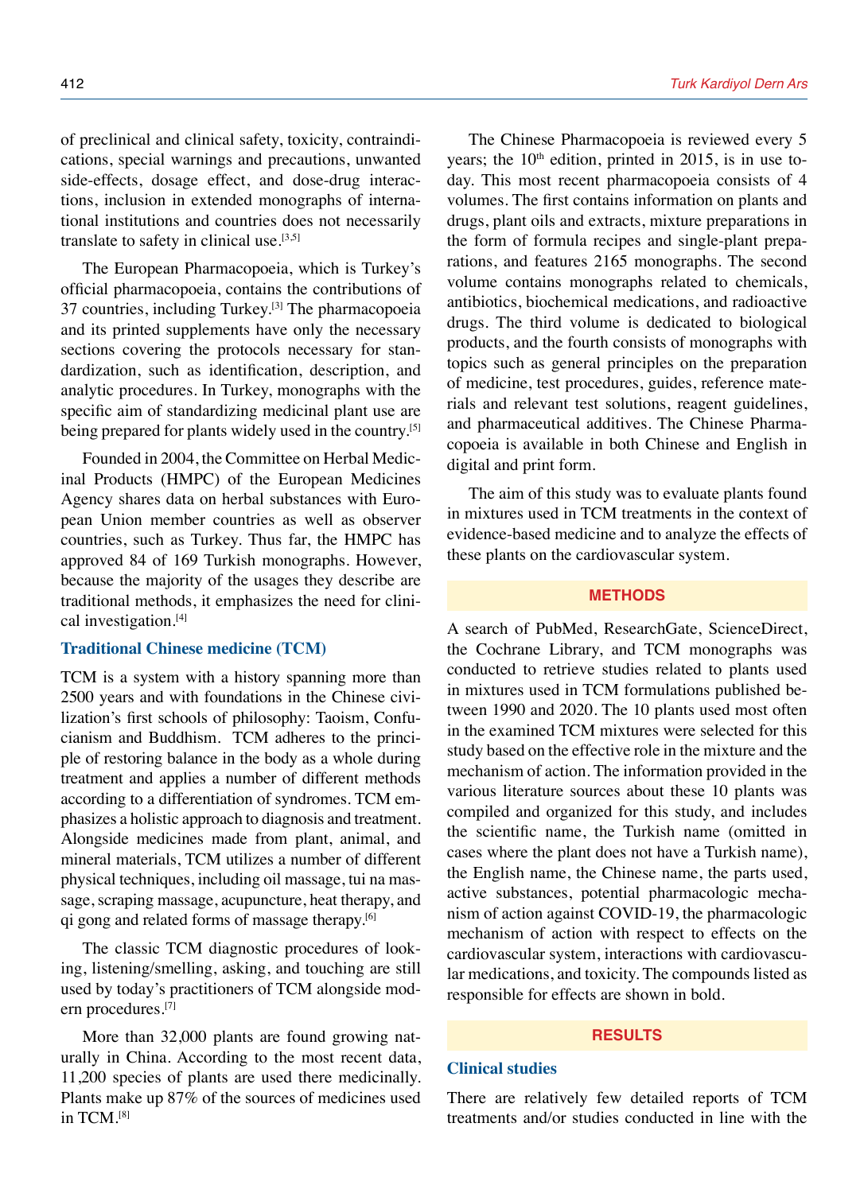of preclinical and clinical safety, toxicity, contraindications, special warnings and precautions, unwanted side-effects, dosage effect, and dose-drug interactions, inclusion in extended monographs of international institutions and countries does not necessarily translate to safety in clinical use. $[3,5]$ 

The European Pharmacopoeia, which is Turkey's official pharmacopoeia, contains the contributions of 37 countries, including Turkey.[3] The pharmacopoeia and its printed supplements have only the necessary sections covering the protocols necessary for standardization, such as identification, description, and analytic procedures. In Turkey, monographs with the specific aim of standardizing medicinal plant use are being prepared for plants widely used in the country.<sup>[5]</sup>

Founded in 2004, the Committee on Herbal Medicinal Products (HMPC) of the European Medicines Agency shares data on herbal substances with European Union member countries as well as observer countries, such as Turkey. Thus far, the HMPC has approved 84 of 169 Turkish monographs. However, because the majority of the usages they describe are traditional methods, it emphasizes the need for clinical investigation.[4]

#### **Traditional Chinese medicine (TCM)**

TCM is a system with a history spanning more than 2500 years and with foundations in the Chinese civilization's first schools of philosophy: Taoism, Confucianism and Buddhism. TCM adheres to the principle of restoring balance in the body as a whole during treatment and applies a number of different methods according to a differentiation of syndromes. TCM emphasizes a holistic approach to diagnosis and treatment. Alongside medicines made from plant, animal, and mineral materials, TCM utilizes a number of different physical techniques, including oil massage, tui na massage, scraping massage, acupuncture, heat therapy, and qi gong and related forms of massage therapy.[6]

The classic TCM diagnostic procedures of looking, listening/smelling, asking, and touching are still used by today's practitioners of TCM alongside modern procedures.<sup>[7]</sup>

More than 32,000 plants are found growing naturally in China. According to the most recent data, 11,200 species of plants are used there medicinally. Plants make up 87% of the sources of medicines used in TCM.<sup>[8]</sup>

The Chinese Pharmacopoeia is reviewed every 5 years; the  $10<sup>th</sup>$  edition, printed in 2015, is in use today. This most recent pharmacopoeia consists of 4 volumes. The first contains information on plants and drugs, plant oils and extracts, mixture preparations in the form of formula recipes and single-plant preparations, and features 2165 monographs. The second volume contains monographs related to chemicals, antibiotics, biochemical medications, and radioactive drugs. The third volume is dedicated to biological products, and the fourth consists of monographs with topics such as general principles on the preparation of medicine, test procedures, guides, reference materials and relevant test solutions, reagent guidelines, and pharmaceutical additives. The Chinese Pharmacopoeia is available in both Chinese and English in digital and print form.

The aim of this study was to evaluate plants found in mixtures used in TCM treatments in the context of evidence-based medicine and to analyze the effects of these plants on the cardiovascular system.

#### **METHODS**

A search of PubMed, ResearchGate, ScienceDirect, the Cochrane Library, and TCM monographs was conducted to retrieve studies related to plants used in mixtures used in TCM formulations published between 1990 and 2020. The 10 plants used most often in the examined TCM mixtures were selected for this study based on the effective role in the mixture and the mechanism of action. The information provided in the various literature sources about these 10 plants was compiled and organized for this study, and includes the scientific name, the Turkish name (omitted in cases where the plant does not have a Turkish name), the English name, the Chinese name, the parts used, active substances, potential pharmacologic mechanism of action against COVID-19, the pharmacologic mechanism of action with respect to effects on the cardiovascular system, interactions with cardiovascular medications, and toxicity. The compounds listed as responsible for effects are shown in bold.

#### **RESULTS**

#### **Clinical studies**

There are relatively few detailed reports of TCM treatments and/or studies conducted in line with the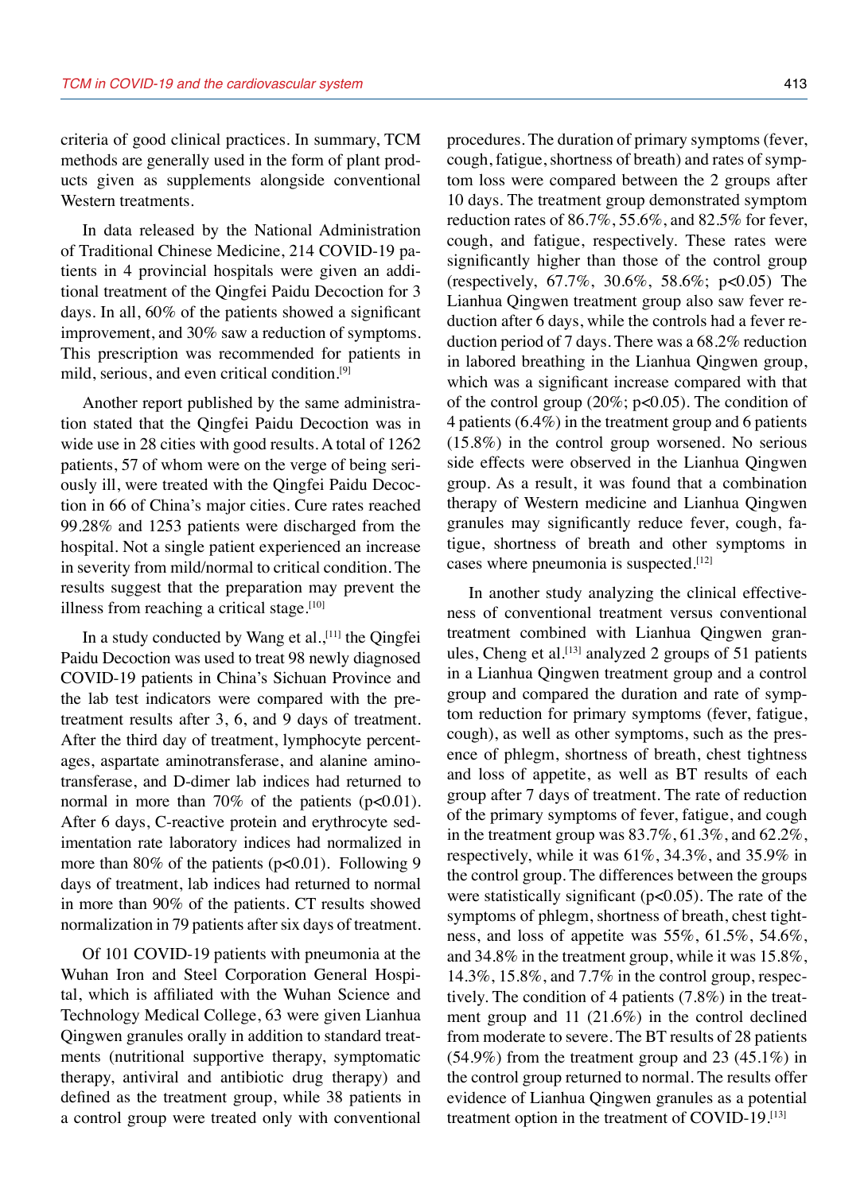criteria of good clinical practices. In summary, TCM methods are generally used in the form of plant products given as supplements alongside conventional Western treatments.

In data released by the National Administration of Traditional Chinese Medicine, 214 COVID-19 patients in 4 provincial hospitals were given an additional treatment of the Qingfei Paidu Decoction for 3 days. In all, 60% of the patients showed a significant improvement, and 30% saw a reduction of symptoms. This prescription was recommended for patients in mild, serious, and even critical condition.[9]

Another report published by the same administration stated that the Qingfei Paidu Decoction was in wide use in 28 cities with good results. A total of 1262 patients, 57 of whom were on the verge of being seriously ill, were treated with the Qingfei Paidu Decoction in 66 of China's major cities. Cure rates reached 99.28% and 1253 patients were discharged from the hospital. Not a single patient experienced an increase in severity from mild/normal to critical condition. The results suggest that the preparation may prevent the illness from reaching a critical stage. $[10]$ 

In a study conducted by Wang et al.,<sup>[11]</sup> the Qingfei Paidu Decoction was used to treat 98 newly diagnosed COVID-19 patients in China's Sichuan Province and the lab test indicators were compared with the pretreatment results after 3, 6, and 9 days of treatment. After the third day of treatment, lymphocyte percentages, aspartate aminotransferase, and alanine aminotransferase, and D-dimer lab indices had returned to normal in more than 70% of the patients  $(p<0.01)$ . After 6 days, C-reactive protein and erythrocyte sedimentation rate laboratory indices had normalized in more than 80% of the patients (p<0.01). Following 9 days of treatment, lab indices had returned to normal in more than 90% of the patients. CT results showed normalization in 79 patients after six days of treatment.

Of 101 COVID-19 patients with pneumonia at the Wuhan Iron and Steel Corporation General Hospital, which is affiliated with the Wuhan Science and Technology Medical College, 63 were given Lianhua Qingwen granules orally in addition to standard treatments (nutritional supportive therapy, symptomatic therapy, antiviral and antibiotic drug therapy) and defined as the treatment group, while 38 patients in a control group were treated only with conventional procedures. The duration of primary symptoms (fever, cough, fatigue, shortness of breath) and rates of symptom loss were compared between the 2 groups after 10 days. The treatment group demonstrated symptom reduction rates of 86.7%, 55.6%, and 82.5% for fever, cough, and fatigue, respectively. These rates were significantly higher than those of the control group (respectively, 67.7%, 30.6%, 58.6%; p<0.05) The Lianhua Qingwen treatment group also saw fever reduction after 6 days, while the controls had a fever reduction period of 7 days. There was a 68.2% reduction in labored breathing in the Lianhua Qingwen group, which was a significant increase compared with that of the control group  $(20\%; p<0.05)$ . The condition of 4 patients (6.4%) in the treatment group and 6 patients (15.8%) in the control group worsened. No serious side effects were observed in the Lianhua Qingwen group. As a result, it was found that a combination therapy of Western medicine and Lianhua Qingwen granules may significantly reduce fever, cough, fatigue, shortness of breath and other symptoms in cases where pneumonia is suspected.<sup>[12]</sup>

In another study analyzing the clinical effectiveness of conventional treatment versus conventional treatment combined with Lianhua Qingwen granules, Cheng et al.<sup>[13]</sup> analyzed 2 groups of 51 patients in a Lianhua Qingwen treatment group and a control group and compared the duration and rate of symptom reduction for primary symptoms (fever, fatigue, cough), as well as other symptoms, such as the presence of phlegm, shortness of breath, chest tightness and loss of appetite, as well as BT results of each group after 7 days of treatment. The rate of reduction of the primary symptoms of fever, fatigue, and cough in the treatment group was 83.7%, 61.3%, and 62.2%, respectively, while it was 61%, 34.3%, and 35.9% in the control group. The differences between the groups were statistically significant  $(p<0.05)$ . The rate of the symptoms of phlegm, shortness of breath, chest tightness, and loss of appetite was 55%, 61.5%, 54.6%, and 34.8% in the treatment group, while it was 15.8%, 14.3%, 15.8%, and 7.7% in the control group, respectively. The condition of 4 patients (7.8%) in the treatment group and 11 (21.6%) in the control declined from moderate to severe. The BT results of 28 patients (54.9%) from the treatment group and 23 (45.1%) in the control group returned to normal. The results offer evidence of Lianhua Qingwen granules as a potential treatment option in the treatment of COVID-19.<sup>[13]</sup>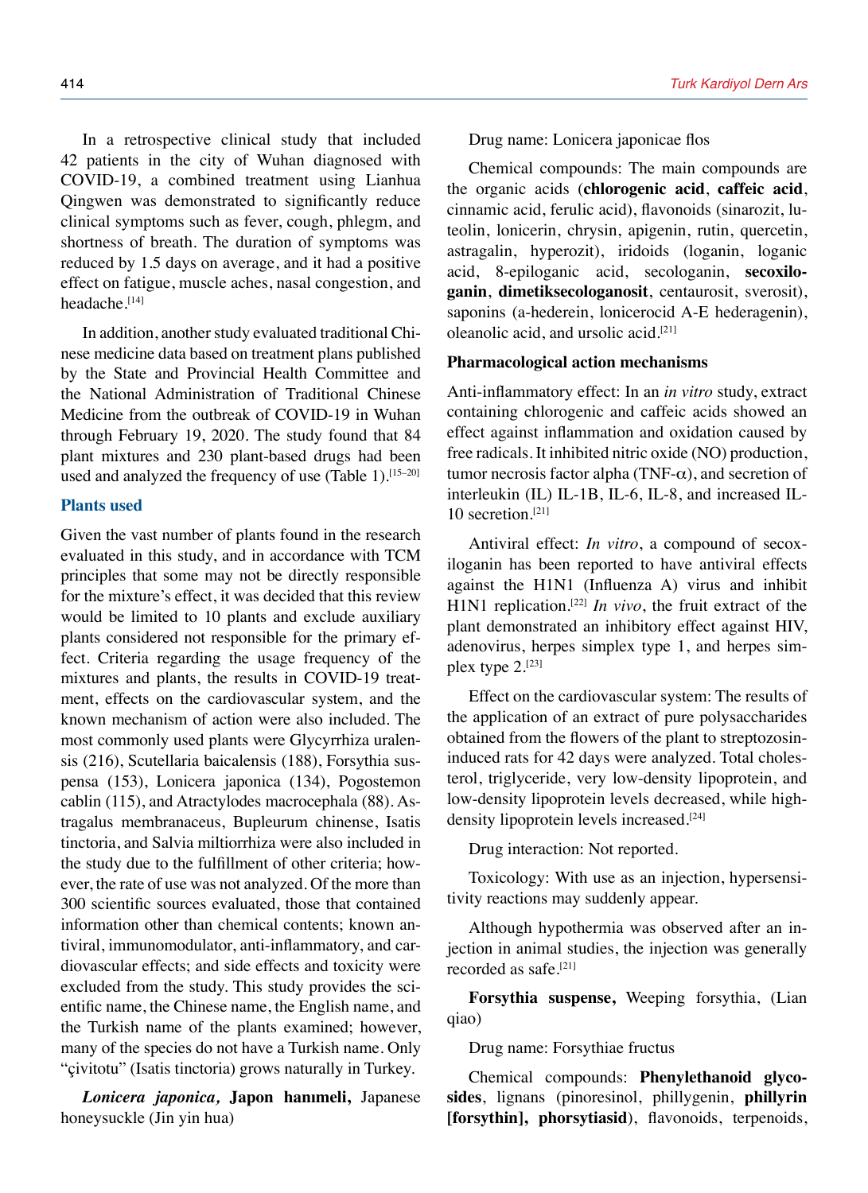In a retrospective clinical study that included 42 patients in the city of Wuhan diagnosed with COVID-19, a combined treatment using Lianhua Qingwen was demonstrated to significantly reduce clinical symptoms such as fever, cough, phlegm, and shortness of breath. The duration of symptoms was reduced by 1.5 days on average, and it had a positive effect on fatigue, muscle aches, nasal congestion, and headache.[14]

In addition, another study evaluated traditional Chinese medicine data based on treatment plans published by the State and Provincial Health Committee and the National Administration of Traditional Chinese Medicine from the outbreak of COVID-19 in Wuhan through February 19, 2020. The study found that 84 plant mixtures and 230 plant-based drugs had been used and analyzed the frequency of use (Table 1).<sup>[15-20]</sup>

#### **Plants used**

Given the vast number of plants found in the research evaluated in this study, and in accordance with TCM principles that some may not be directly responsible for the mixture's effect, it was decided that this review would be limited to 10 plants and exclude auxiliary plants considered not responsible for the primary effect. Criteria regarding the usage frequency of the mixtures and plants, the results in COVID-19 treatment, effects on the cardiovascular system, and the known mechanism of action were also included. The most commonly used plants were Glycyrrhiza uralensis (216), Scutellaria baicalensis (188), Forsythia suspensa (153), Lonicera japonica (134), Pogostemon cablin (115), and Atractylodes macrocephala (88). Astragalus membranaceus, Bupleurum chinense, Isatis tinctoria, and Salvia miltiorrhiza were also included in the study due to the fulfillment of other criteria; however, the rate of use was not analyzed. Of the more than 300 scientific sources evaluated, those that contained information other than chemical contents; known antiviral, immunomodulator, anti-inflammatory, and cardiovascular effects; and side effects and toxicity were excluded from the study. This study provides the scientific name, the Chinese name, the English name, and the Turkish name of the plants examined; however, many of the species do not have a Turkish name. Only "çivitotu" (Isatis tinctoria) grows naturally in Turkey.

*Lonicera japonica,* **Japon hanımeli,** Japanese honeysuckle (Jin yin hua)

Drug name: Lonicera japonicae flos

Chemical compounds: The main compounds are the organic acids (**chlorogenic acid**, **caffeic acid**, cinnamic acid, ferulic acid), flavonoids (sinarozit, luteolin, lonicerin, chrysin, apigenin, rutin, quercetin, astragalin, hyperozit), iridoids (loganin, loganic acid, 8-epiloganic acid, secologanin, **secoxiloganin**, **dimetiksecologanosit**, centaurosit, sverosit), saponins (a-hederein, lonicerocid A-E hederagenin), oleanolic acid, and ursolic acid.[21]

#### **Pharmacological action mechanisms**

Anti-inflammatory effect: In an *in vitro* study, extract containing chlorogenic and caffeic acids showed an effect against inflammation and oxidation caused by free radicals. It inhibited nitric oxide (NO) production, tumor necrosis factor alpha (TNF- $\alpha$ ), and secretion of interleukin (IL) IL-1B, IL-6, IL-8, and increased IL-10 secretion.[21]

Antiviral effect: *In vitro*, a compound of secoxiloganin has been reported to have antiviral effects against the H1N1 (Influenza A) virus and inhibit H1N1 replication.[22] *In vivo*, the fruit extract of the plant demonstrated an inhibitory effect against HIV, adenovirus, herpes simplex type 1, and herpes simplex type 2.[23]

Effect on the cardiovascular system: The results of the application of an extract of pure polysaccharides obtained from the flowers of the plant to streptozosininduced rats for 42 days were analyzed. Total cholesterol, triglyceride, very low-density lipoprotein, and low-density lipoprotein levels decreased, while highdensity lipoprotein levels increased.<sup>[24]</sup>

Drug interaction: Not reported.

Toxicology: With use as an injection, hypersensitivity reactions may suddenly appear.

Although hypothermia was observed after an injection in animal studies, the injection was generally recorded as safe.[21]

**Forsythia suspense,** Weeping forsythia, (Lian qiao)

Drug name: Forsythiae fructus

Chemical compounds: **Phenylethanoid glycosides**, lignans (pinoresinol, phillygenin, **phillyrin [forsythin], phorsytiasid**), flavonoids, terpenoids,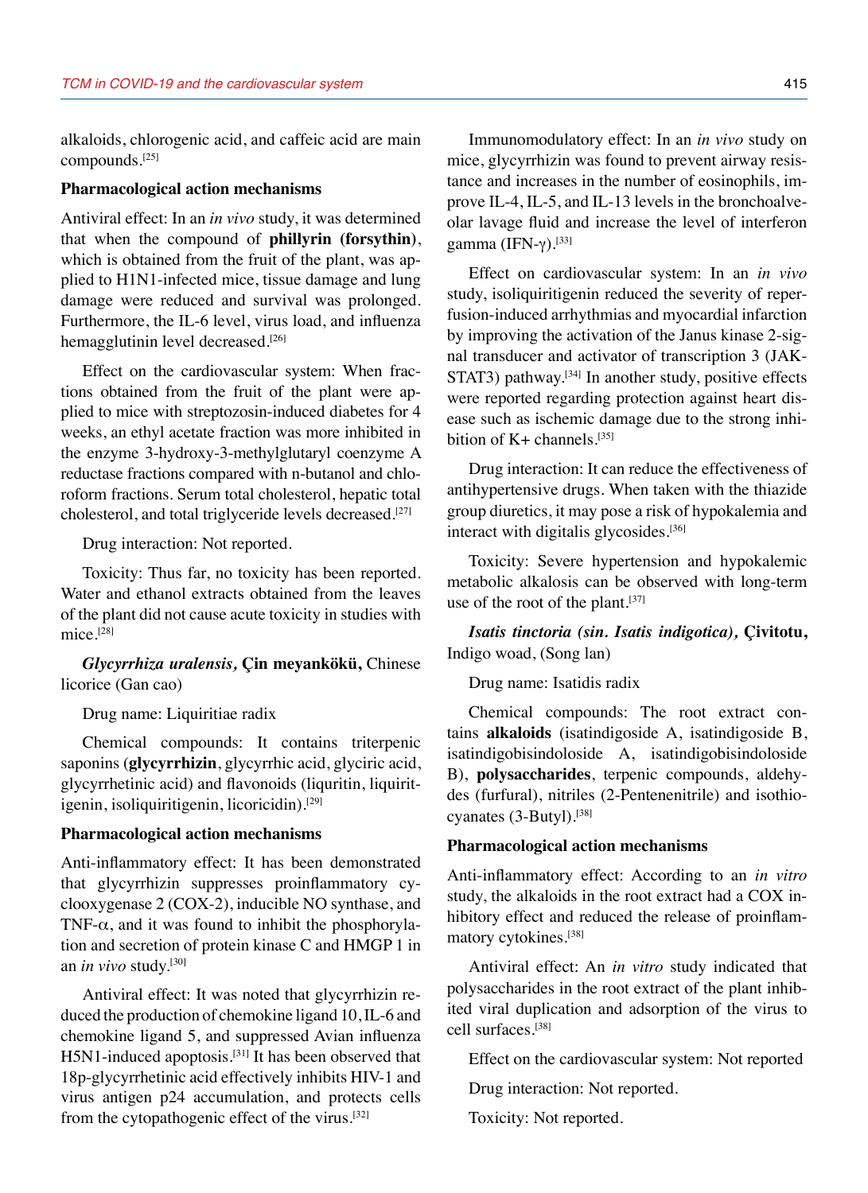alkaloids, chlorogenic acid, and caffeic acid are main compounds.[25]

#### **Pharmacological action mechanisms**

Antiviral effect: In an *in vivo* study, it was determined that when the compound of **phillyrin (forsythin)**, which is obtained from the fruit of the plant, was applied to H1N1-infected mice, tissue damage and lung damage were reduced and survival was prolonged. Furthermore, the IL-6 level, virus load, and influenza hemagglutinin level decreased.<sup>[26]</sup>

Effect on the cardiovascular system: When fractions obtained from the fruit of the plant were applied to mice with streptozosin-induced diabetes for 4 weeks, an ethyl acetate fraction was more inhibited in the enzyme 3-hydroxy-3-methylglutaryl coenzyme A reductase fractions compared with n-butanol and chloroform fractions. Serum total cholesterol, hepatic total cholesterol, and total triglyceride levels decreased.[27]

Drug interaction: Not reported.

Toxicity: Thus far, no toxicity has been reported. Water and ethanol extracts obtained from the leaves of the plant did not cause acute toxicity in studies with mice.[28]

*Glycyrrhiza uralensis,* **Çin meyankökü,** Chinese licorice (Gan cao)

Drug name: Liquiritiae radix

Chemical compounds: It contains triterpenic saponins (**glycyrrhizin**, glycyrrhic acid, glyciric acid, glycyrrhetinic acid) and flavonoids (liquritin, liquiritigenin, isoliquiritigenin, licoricidin).[29]

#### **Pharmacological action mechanisms**

Anti-inflammatory effect: It has been demonstrated that glycyrrhizin suppresses proinflammatory cyclooxygenase 2 (COX-2), inducible NO synthase, and TNF- $\alpha$ , and it was found to inhibit the phosphorylation and secretion of protein kinase C and HMGP 1 in an *in vivo* study.[30]

Antiviral effect: It was noted that glycyrrhizin reduced the production of chemokine ligand 10, IL-6 and chemokine ligand 5, and suppressed Avian influenza H5N1-induced apoptosis.[31] It has been observed that 18p-glycyrrhetinic acid effectively inhibits HIV-1 and virus antigen p24 accumulation, and protects cells from the cytopathogenic effect of the virus.[32]

Immunomodulatory effect: In an *in vivo* study on mice, glycyrrhizin was found to prevent airway resistance and increases in the number of eosinophils, improve IL-4, IL-5, and IL-13 levels in the bronchoalveolar lavage fluid and increase the level of interferon gamma (IFN-γ).<sup>[33]</sup>

Effect on cardiovascular system: In an *in vivo* study, isoliquiritigenin reduced the severity of reperfusion-induced arrhythmias and myocardial infarction by improving the activation of the Janus kinase 2-signal transducer and activator of transcription 3 (JAK-STAT3) pathway.<sup>[34]</sup> In another study, positive effects were reported regarding protection against heart disease such as ischemic damage due to the strong inhibition of  $K+$  channels.<sup>[35]</sup>

Drug interaction: It can reduce the effectiveness of antihypertensive drugs. When taken with the thiazide group diuretics, it may pose a risk of hypokalemia and interact with digitalis glycosides.<sup>[36]</sup>

Toxicity: Severe hypertension and hypokalemic metabolic alkalosis can be observed with long-term use of the root of the plant.<sup>[37]</sup>

*Isatis tinctoria (sin. Isatis indigotica),* **Çivitotu,** Indigo woad, (Song lan)

Drug name: Isatidis radix

Chemical compounds: The root extract contains **alkaloids** (isatindigoside A, isatindigoside B, isatindigobisindoloside A, isatindigobisindoloside B), **polysaccharides**, terpenic compounds, aldehydes (furfural), nitriles (2-Pentenenitrile) and isothiocyanates (3-Butyl).[38]

#### **Pharmacological action mechanisms**

Anti-inflammatory effect: According to an *in vitro* study, the alkaloids in the root extract had a COX inhibitory effect and reduced the release of proinflammatory cytokines.[38]

Antiviral effect: An *in vitro* study indicated that polysaccharides in the root extract of the plant inhibited viral duplication and adsorption of the virus to cell surfaces.[38]

Effect on the cardiovascular system: Not reported

Drug interaction: Not reported.

Toxicity: Not reported.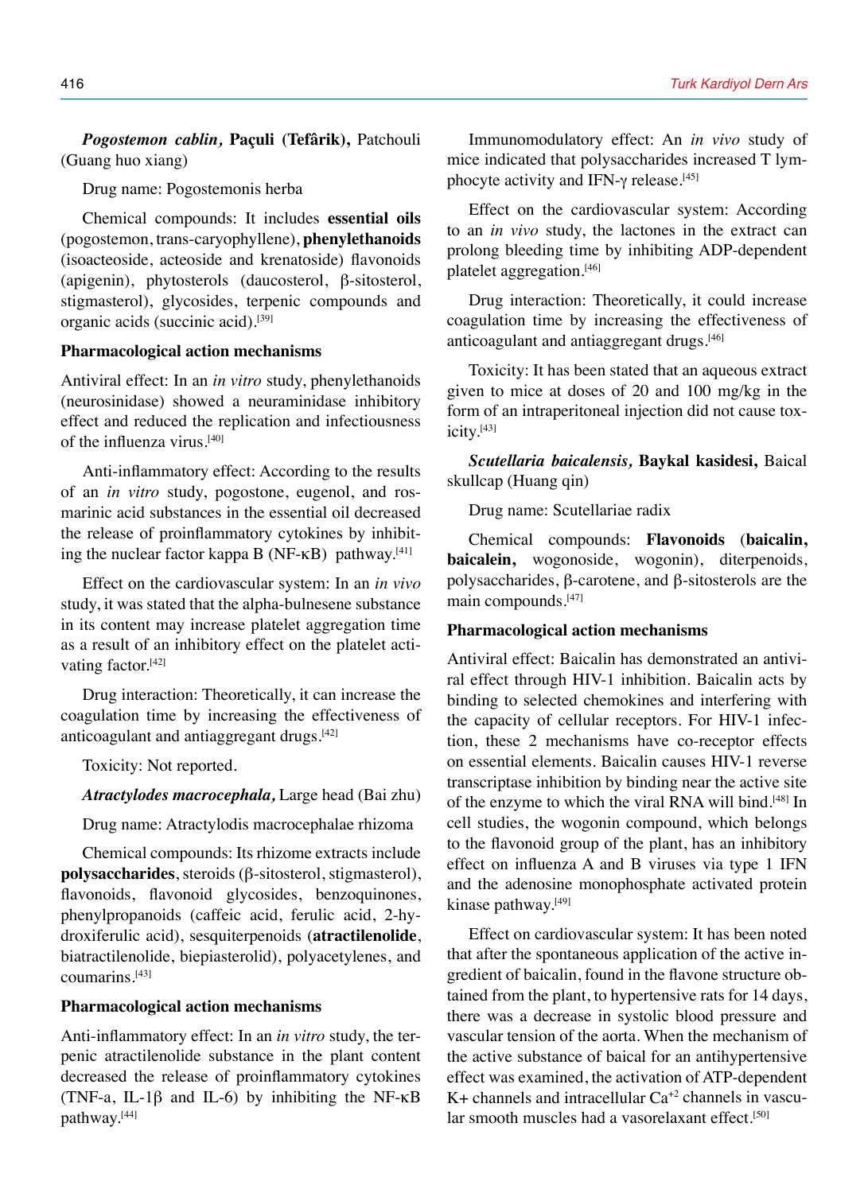*Pogostemon cablin,* **Paçuli (Tefârik),** Patchouli (Guang huo xiang)

Drug name: Pogostemonis herba

Chemical compounds: It includes **essential oils** (pogostemon, trans-caryophyllene), **phenylethanoids** (isoacteoside, acteoside and krenatoside) flavonoids (apigenin), phytosterols (daucosterol, β-sitosterol, stigmasterol), glycosides, terpenic compounds and organic acids (succinic acid).[39]

### **Pharmacological action mechanisms**

Antiviral effect: In an *in vitro* study, phenylethanoids (neurosinidase) showed a neuraminidase inhibitory effect and reduced the replication and infectiousness of the influenza virus.[40]

Anti-inflammatory effect: According to the results of an *in vitro* study, pogostone, eugenol, and rosmarinic acid substances in the essential oil decreased the release of proinflammatory cytokines by inhibiting the nuclear factor kappa B ( $NF$ - $\kappa$ B) pathway.<sup>[41]</sup>

Effect on the cardiovascular system: In an *in vivo* study, it was stated that the alpha-bulnesene substance in its content may increase platelet aggregation time as a result of an inhibitory effect on the platelet activating factor.<sup>[42]</sup>

Drug interaction: Theoretically, it can increase the coagulation time by increasing the effectiveness of anticoagulant and antiaggregant drugs.<sup>[42]</sup>

Toxicity: Not reported.

*Atractylodes macrocephala,* Large head (Bai zhu)

Drug name: Atractylodis macrocephalae rhizoma

Chemical compounds: Its rhizome extracts include **polysaccharides**, steroids (β-sitosterol, stigmasterol), flavonoids, flavonoid glycosides, benzoquinones, phenylpropanoids (caffeic acid, ferulic acid, 2-hydroxiferulic acid), sesquiterpenoids (**atractilenolide**, biatractilenolide, biepiasterolid), polyacetylenes, and coumarins.[43]

#### **Pharmacological action mechanisms**

Anti-inflammatory effect: In an *in vitro* study, the terpenic atractilenolide substance in the plant content decreased the release of proinflammatory cytokines (TNF-a, IL-1β and IL-6) by inhibiting the NF-κB pathway.[44]

Immunomodulatory effect: An *in vivo* study of mice indicated that polysaccharides increased T lymphocyte activity and IFN- $\gamma$  release.<sup>[45]</sup>

Effect on the cardiovascular system: According to an *in vivo* study, the lactones in the extract can prolong bleeding time by inhibiting ADP-dependent platelet aggregation.[46]

Drug interaction: Theoretically, it could increase coagulation time by increasing the effectiveness of anticoagulant and antiaggregant drugs.<sup>[46]</sup>

Toxicity: It has been stated that an aqueous extract given to mice at doses of 20 and 100 mg/kg in the form of an intraperitoneal injection did not cause toxicity.[43]

*Scutellaria baicalensis,* **Baykal kasidesi,** Baical skullcap (Huang qin)

Drug name: Scutellariae radix

Chemical compounds: **Flavonoids** (**baicalin, baicalein,** wogonoside, wogonin), diterpenoids, polysaccharides, β-carotene, and β-sitosterols are the main compounds.[47]

#### **Pharmacological action mechanisms**

Antiviral effect: Baicalin has demonstrated an antiviral effect through HIV-1 inhibition. Baicalin acts by binding to selected chemokines and interfering with the capacity of cellular receptors. For HIV-1 infection, these 2 mechanisms have co-receptor effects on essential elements. Baicalin causes HIV-1 reverse transcriptase inhibition by binding near the active site of the enzyme to which the viral RNA will bind.[48] In cell studies, the wogonin compound, which belongs to the flavonoid group of the plant, has an inhibitory effect on influenza A and B viruses via type 1 IFN and the adenosine monophosphate activated protein kinase pathway.[49]

Effect on cardiovascular system: It has been noted that after the spontaneous application of the active ingredient of baicalin, found in the flavone structure obtained from the plant, to hypertensive rats for 14 days, there was a decrease in systolic blood pressure and vascular tension of the aorta. When the mechanism of the active substance of baical for an antihypertensive effect was examined, the activation of ATP-dependent  $K+$  channels and intracellular  $Ca^{+2}$  channels in vascular smooth muscles had a vasorelaxant effect.<sup>[50]</sup>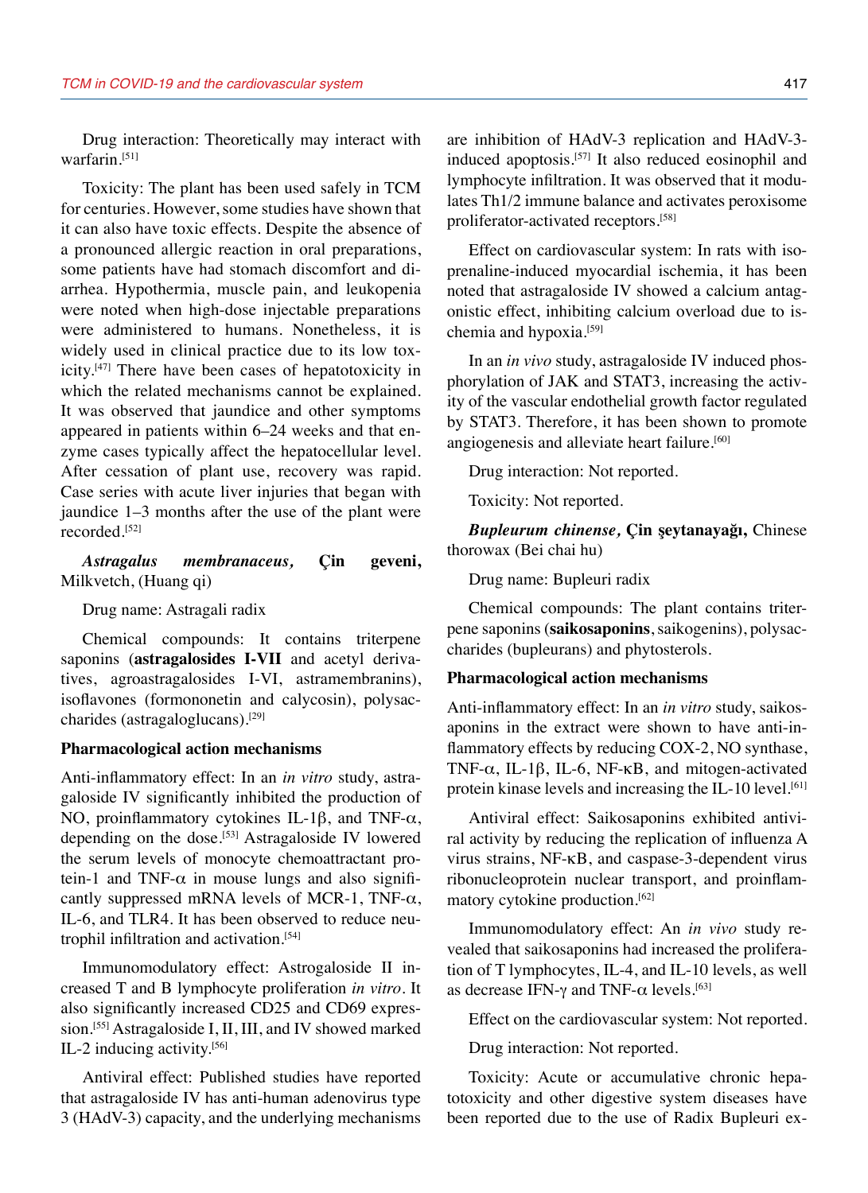Drug interaction: Theoretically may interact with warfarin.[51]

Toxicity: The plant has been used safely in TCM for centuries. However, some studies have shown that it can also have toxic effects. Despite the absence of a pronounced allergic reaction in oral preparations, some patients have had stomach discomfort and diarrhea. Hypothermia, muscle pain, and leukopenia were noted when high-dose injectable preparations were administered to humans. Nonetheless, it is widely used in clinical practice due to its low toxicity.[47] There have been cases of hepatotoxicity in which the related mechanisms cannot be explained. It was observed that jaundice and other symptoms appeared in patients within 6–24 weeks and that enzyme cases typically affect the hepatocellular level. After cessation of plant use, recovery was rapid. Case series with acute liver injuries that began with jaundice 1–3 months after the use of the plant were recorded.[52]

### *Astragalus membranaceus,* **Çin geveni,** Milkvetch, (Huang qi)

Drug name: Astragali radix

Chemical compounds: It contains triterpene saponins (**astragalosides I-VII** and acetyl derivatives, agroastragalosides I-VI, astramembranins), isoflavones (formononetin and calycosin), polysaccharides (astragaloglucans).[29]

#### **Pharmacological action mechanisms**

Anti-inflammatory effect: In an *in vitro* study, astragaloside IV significantly inhibited the production of NO, proinflammatory cytokines IL-1β, and TNF-α, depending on the dose.<sup>[53]</sup> Astragaloside IV lowered the serum levels of monocyte chemoattractant protein-1 and TNF- $\alpha$  in mouse lungs and also significantly suppressed mRNA levels of MCR-1, TNF- $\alpha$ , IL-6, and TLR4. It has been observed to reduce neutrophil infiltration and activation.[54]

Immunomodulatory effect: Astrogaloside II increased T and B lymphocyte proliferation *in vitro*. It also significantly increased CD25 and CD69 expression.[55] Astragaloside I, II, III, and IV showed marked IL-2 inducing activity.[56]

Antiviral effect: Published studies have reported that astragaloside IV has anti-human adenovirus type 3 (HAdV-3) capacity, and the underlying mechanisms are inhibition of HAdV-3 replication and HAdV-3 induced apoptosis.[57] It also reduced eosinophil and lymphocyte infiltration. It was observed that it modulates Th1/2 immune balance and activates peroxisome proliferator-activated receptors.[58]

Effect on cardiovascular system: In rats with isoprenaline-induced myocardial ischemia, it has been noted that astragaloside IV showed a calcium antagonistic effect, inhibiting calcium overload due to ischemia and hypoxia.[59]

In an *in vivo* study, astragaloside IV induced phosphorylation of JAK and STAT3, increasing the activity of the vascular endothelial growth factor regulated by STAT3. Therefore, it has been shown to promote angiogenesis and alleviate heart failure.<sup>[60]</sup>

Drug interaction: Not reported.

Toxicity: Not reported.

*Bupleurum chinense,* **Çin şeytanayağı,** Chinese thorowax (Bei chai hu)

Drug name: Bupleuri radix

Chemical compounds: The plant contains triterpene saponins (**saikosaponins**, saikogenins), polysaccharides (bupleurans) and phytosterols.

#### **Pharmacological action mechanisms**

Anti-inflammatory effect: In an *in vitro* study, saikosaponins in the extract were shown to have anti-inflammatory effects by reducing COX-2, NO synthase, TNF- $\alpha$ , IL-1 $\beta$ , IL-6, NF- $\kappa$ B, and mitogen-activated protein kinase levels and increasing the IL-10 level.<sup>[61]</sup>

Antiviral effect: Saikosaponins exhibited antiviral activity by reducing the replication of influenza A virus strains, NF-κB, and caspase-3-dependent virus ribonucleoprotein nuclear transport, and proinflammatory cytokine production.[62]

Immunomodulatory effect: An *in vivo* study revealed that saikosaponins had increased the proliferation of T lymphocytes, IL-4, and IL-10 levels, as well as decrease IFN-γ and TNF- $α$  levels.<sup>[63]</sup>

Effect on the cardiovascular system: Not reported.

Drug interaction: Not reported.

Toxicity: Acute or accumulative chronic hepatotoxicity and other digestive system diseases have been reported due to the use of Radix Bupleuri ex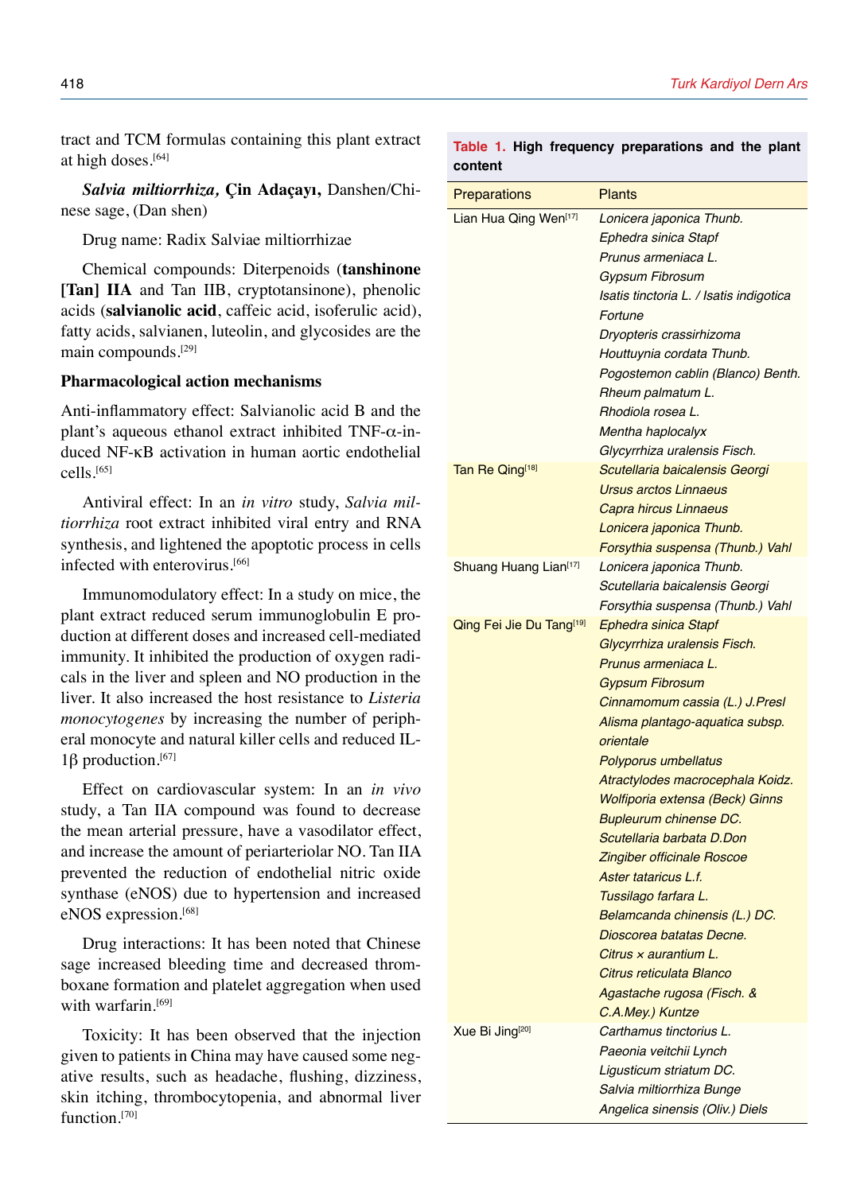tract and TCM formulas containing this plant extract at high doses.[64]

*Salvia miltiorrhiza,* **Çin Adaçayı,** Danshen/Chinese sage, (Dan shen)

Drug name: Radix Salviae miltiorrhizae

Chemical compounds: Diterpenoids (**tanshinone [Tan] IIA** and Tan IIB, cryptotansinone), phenolic acids (**salvianolic acid**, caffeic acid, isoferulic acid), fatty acids, salvianen, luteolin, and glycosides are the main compounds.[29]

### **Pharmacological action mechanisms**

Anti-inflammatory effect: Salvianolic acid B and the plant's aqueous ethanol extract inhibited TNF-α-induced NF-κB activation in human aortic endothelial cells.[65]

Antiviral effect: In an *in vitro* study, *Salvia miltiorrhiza* root extract inhibited viral entry and RNA synthesis, and lightened the apoptotic process in cells infected with enterovirus.<sup>[66]</sup>

Immunomodulatory effect: In a study on mice, the plant extract reduced serum immunoglobulin E production at different doses and increased cell-mediated immunity. It inhibited the production of oxygen radicals in the liver and spleen and NO production in the liver. It also increased the host resistance to *Listeria monocytogenes* by increasing the number of peripheral monocyte and natural killer cells and reduced IL-1β production.<sup>[67]</sup>

Effect on cardiovascular system: In an *in vivo* study, a Tan IIA compound was found to decrease the mean arterial pressure, have a vasodilator effect, and increase the amount of periarteriolar NO. Tan IIA prevented the reduction of endothelial nitric oxide synthase (eNOS) due to hypertension and increased eNOS expression.[68]

Drug interactions: It has been noted that Chinese sage increased bleeding time and decreased thromboxane formation and platelet aggregation when used with warfarin.<sup>[69]</sup>

Toxicity: It has been observed that the injection given to patients in China may have caused some negative results, such as headache, flushing, dizziness, skin itching, thrombocytopenia, and abnormal liver function.<sup>[70]</sup>

|         |  | Table 1. High frequency preparations and the plant |  |  |
|---------|--|----------------------------------------------------|--|--|
| content |  |                                                    |  |  |

| <b>Preparations</b>         | <b>Plants</b>                                                                                                                                                                                                                                                                                                                                                                                                                                                                                                                                                                                                   |
|-----------------------------|-----------------------------------------------------------------------------------------------------------------------------------------------------------------------------------------------------------------------------------------------------------------------------------------------------------------------------------------------------------------------------------------------------------------------------------------------------------------------------------------------------------------------------------------------------------------------------------------------------------------|
| Lian Hua Qing Wen[17]       | Lonicera japonica Thunb.<br>Ephedra sinica Stapf<br>Prunus armeniaca L.<br><b>Gypsum Fibrosum</b><br>Isatis tinctoria L. / Isatis indigotica<br>Fortune<br>Dryopteris crassirhizoma<br>Houttuynia cordata Thunb.<br>Pogostemon cablin (Blanco) Benth.<br>Rheum palmatum L.<br>Rhodiola rosea L.<br>Mentha haplocalyx                                                                                                                                                                                                                                                                                            |
| Tan Re Qing[18]             | Glycyrrhiza uralensis Fisch.<br>Scutellaria baicalensis Georgi<br>Ursus arctos Linnaeus<br>Capra hircus Linnaeus<br>Lonicera japonica Thunb.<br>Forsythia suspensa (Thunb.) Vahl                                                                                                                                                                                                                                                                                                                                                                                                                                |
| Shuang Huang Lian[17]       | Lonicera japonica Thunb.<br>Scutellaria baicalensis Georgi<br>Forsythia suspensa (Thunb.) Vahl                                                                                                                                                                                                                                                                                                                                                                                                                                                                                                                  |
| Qing Fei Jie Du Tang[19]    | <b>Ephedra sinica Stapf</b><br>Glycyrrhiza uralensis Fisch.<br>Prunus armeniaca L.<br><b>Gypsum Fibrosum</b><br>Cinnamomum cassia (L.) J.Presl<br>Alisma plantago-aquatica subsp.<br>orientale<br>Polyporus umbellatus<br>Atractylodes macrocephala Koidz.<br>Wolfiporia extensa (Beck) Ginns<br><b>Bupleurum chinense DC.</b><br>Scutellaria barbata D.Don<br>Zingiber officinale Roscoe<br>Aster tataricus L.f.<br>Tussilago farfara L.<br>Belamcanda chinensis (L.) DC.<br>Dioscorea batatas Decne.<br>Citrus $x$ aurantium L.<br>Citrus reticulata Blanco<br>Agastache rugosa (Fisch. &<br>C.A.Mey.) Kuntze |
| Xue Bi Jing <sup>[20]</sup> | Carthamus tinctorius L.<br>Paeonia veitchii Lynch<br>Ligusticum striatum DC.<br>Salvia miltiorrhiza Bunge<br>Angelica sinensis (Oliv.) Diels                                                                                                                                                                                                                                                                                                                                                                                                                                                                    |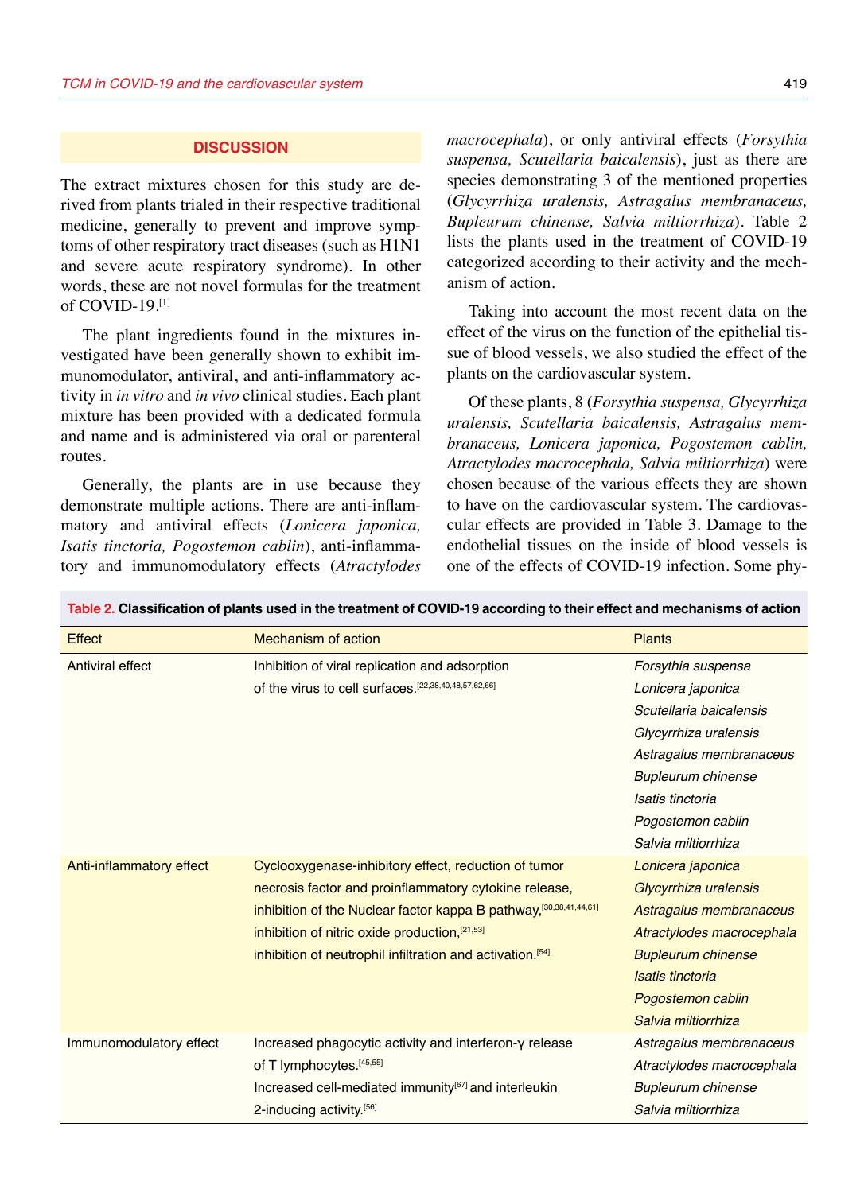#### **DISCUSSION**

The extract mixtures chosen for this study are derived from plants trialed in their respective traditional medicine, generally to prevent and improve symptoms of other respiratory tract diseases (such as H1N1 and severe acute respiratory syndrome). In other words, these are not novel formulas for the treatment of COVID-19.[1]

The plant ingredients found in the mixtures investigated have been generally shown to exhibit immunomodulator, antiviral, and anti-inflammatory activity in *in vitro* and *in vivo* clinical studies. Each plant mixture has been provided with a dedicated formula and name and is administered via oral or parenteral routes.

Generally, the plants are in use because they demonstrate multiple actions. There are anti-inflammatory and antiviral effects (*Lonicera japonica, Isatis tinctoria, Pogostemon cablin*), anti-inflammatory and immunomodulatory effects (*Atractylodes* *macrocephala*), or only antiviral effects (*Forsythia suspensa, Scutellaria baicalensis*), just as there are species demonstrating 3 of the mentioned properties (*Glycyrrhiza uralensis, Astragalus membranaceus, Bupleurum chinense, Salvia miltiorrhiza*). Table 2 lists the plants used in the treatment of COVID-19 categorized according to their activity and the mechanism of action.

Taking into account the most recent data on the effect of the virus on the function of the epithelial tissue of blood vessels, we also studied the effect of the plants on the cardiovascular system.

Of these plants, 8 (*Forsythia suspensa, Glycyrrhiza uralensis, Scutellaria baicalensis, Astragalus membranaceus, Lonicera japonica, Pogostemon cablin, Atractylodes macrocephala, Salvia miltiorrhiza*) were chosen because of the various effects they are shown to have on the cardiovascular system. The cardiovascular effects are provided in Table 3. Damage to the endothelial tissues on the inside of blood vessels is one of the effects of COVID-19 infection. Some phy-

| <b>Effect</b>            | Mechanism of action                                                   | <b>Plants</b>             |
|--------------------------|-----------------------------------------------------------------------|---------------------------|
| Antiviral effect         | Inhibition of viral replication and adsorption                        | Forsythia suspensa        |
|                          | of the virus to cell surfaces. [22,38,40,48,57,62,66]                 | Lonicera japonica         |
|                          |                                                                       | Scutellaria baicalensis   |
|                          |                                                                       | Glycyrrhiza uralensis     |
|                          |                                                                       | Astragalus membranaceus   |
|                          |                                                                       | <b>Bupleurum chinense</b> |
|                          |                                                                       | Isatis tinctoria          |
|                          |                                                                       | Pogostemon cablin         |
|                          |                                                                       | Salvia miltiorrhiza       |
| Anti-inflammatory effect | Cyclooxygenase-inhibitory effect, reduction of tumor                  | Lonicera japonica         |
|                          | necrosis factor and proinflammatory cytokine release,                 | Glycyrrhiza uralensis     |
|                          | inhibition of the Nuclear factor kappa B pathway, [30,38,41,44,61]    | Astragalus membranaceus   |
|                          | inhibition of nitric oxide production, [21,53]                        | Atractylodes macrocephala |
|                          | inhibition of neutrophil infiltration and activation. <sup>[54]</sup> | <b>Bupleurum chinense</b> |
|                          |                                                                       | Isatis tinctoria          |
|                          |                                                                       | Pogostemon cablin         |
|                          |                                                                       | Salvia miltiorrhiza       |
| Immunomodulatory effect  | Increased phagocytic activity and interferon-y release                | Astragalus membranaceus   |
|                          | of T lymphocytes. [45,55]                                             | Atractylodes macrocephala |
|                          | Increased cell-mediated immunity <sup>[67]</sup> and interleukin      | <b>Bupleurum chinense</b> |
|                          | 2-inducing activity.[56]                                              | Salvia miltiorrhiza       |

**Table 2. Classification of plants used in the treatment of COVID-19 according to their effect and mechanisms of action**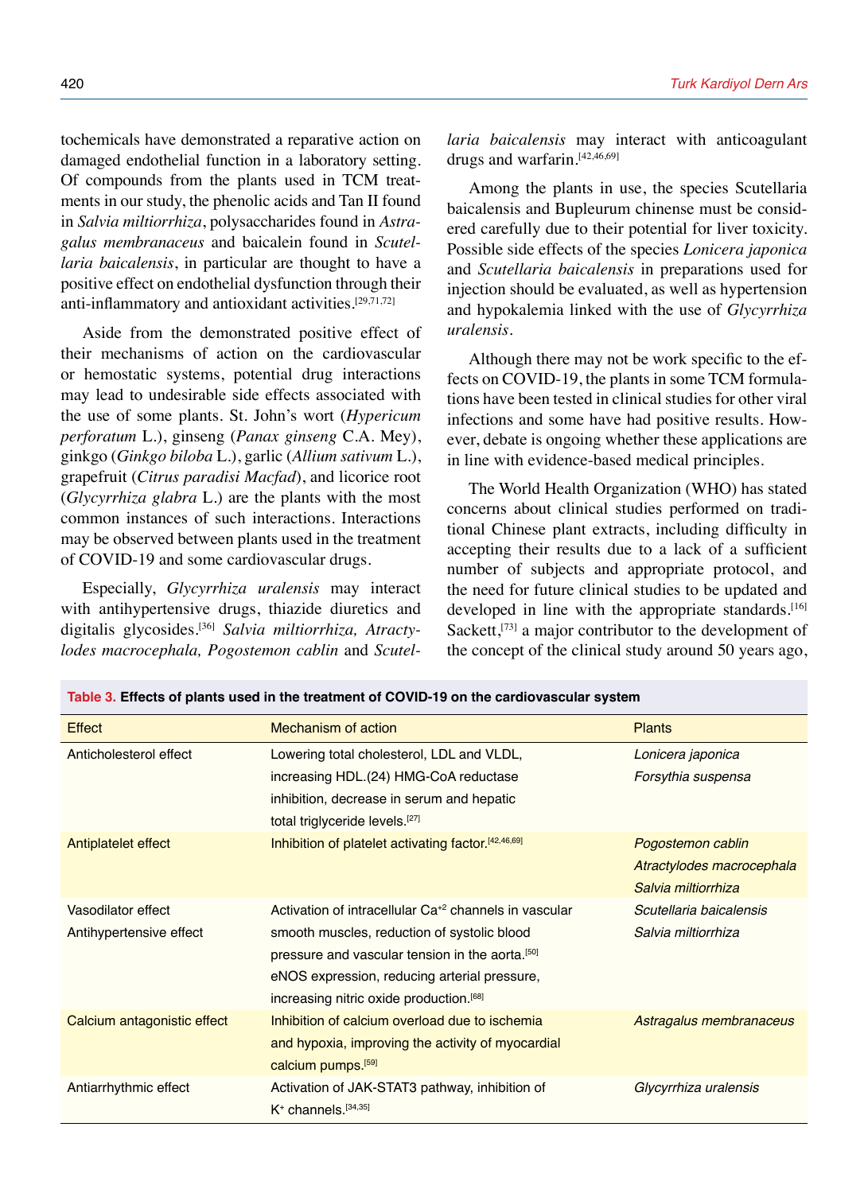tochemicals have demonstrated a reparative action on damaged endothelial function in a laboratory setting. Of compounds from the plants used in TCM treatments in our study, the phenolic acids and Tan II found in *Salvia miltiorrhiza*, polysaccharides found in *Astragalus membranaceus* and baicalein found in *Scutellaria baicalensis*, in particular are thought to have a positive effect on endothelial dysfunction through their anti-inflammatory and antioxidant activities.[29,71,72]

Aside from the demonstrated positive effect of their mechanisms of action on the cardiovascular or hemostatic systems, potential drug interactions may lead to undesirable side effects associated with the use of some plants. St. John's wort (*Hypericum perforatum* L.), ginseng (*Panax ginseng* C.A. Mey), ginkgo (*Ginkgo biloba* L.), garlic (*Allium sativum* L.), grapefruit (*Citrus paradisi Macfad*), and licorice root (*Glycyrrhiza glabra* L.) are the plants with the most common instances of such interactions. Interactions may be observed between plants used in the treatment of COVID-19 and some cardiovascular drugs.

Especially, *Glycyrrhiza uralensis* may interact with antihypertensive drugs, thiazide diuretics and digitalis glycosides.[36] *Salvia miltiorrhiza, Atractylodes macrocephala, Pogostemon cablin* and *Scutel-*

**Table 3. Effects of plants used in the treatment of COVID-19 on the cardiovascular system**

*laria baicalensis* may interact with anticoagulant drugs and warfarin.<sup>[42,46,69]</sup>

Among the plants in use, the species Scutellaria baicalensis and Bupleurum chinense must be considered carefully due to their potential for liver toxicity. Possible side effects of the species *Lonicera japonica* and *Scutellaria baicalensis* in preparations used for injection should be evaluated, as well as hypertension and hypokalemia linked with the use of *Glycyrrhiza uralensis*.

Although there may not be work specific to the effects on COVID-19, the plants in some TCM formulations have been tested in clinical studies for other viral infections and some have had positive results. However, debate is ongoing whether these applications are in line with evidence-based medical principles.

The World Health Organization (WHO) has stated concerns about clinical studies performed on traditional Chinese plant extracts, including difficulty in accepting their results due to a lack of a sufficient number of subjects and appropriate protocol, and the need for future clinical studies to be updated and developed in line with the appropriate standards.<sup>[16]</sup> Sackett,<sup>[73]</sup> a major contributor to the development of the concept of the clinical study around 50 years ago,

| Effect                      | Mechanism of action                                               | <b>Plants</b>             |
|-----------------------------|-------------------------------------------------------------------|---------------------------|
| Anticholesterol effect      | Lowering total cholesterol, LDL and VLDL,                         | Lonicera japonica         |
|                             | increasing HDL.(24) HMG-CoA reductase                             | Forsythia suspensa        |
|                             | inhibition, decrease in serum and hepatic                         |                           |
|                             | total triglyceride levels. <sup>[27]</sup>                        |                           |
| Antiplatelet effect         | Inhibition of platelet activating factor. [42,46,69]              | Pogostemon cablin         |
|                             |                                                                   | Atractylodes macrocephala |
|                             |                                                                   | Salvia miltiorrhiza       |
| Vasodilator effect          | Activation of intracellular Ca <sup>+2</sup> channels in vascular | Scutellaria baicalensis   |
| Antihypertensive effect     | smooth muscles, reduction of systolic blood                       | Salvia miltiorrhiza       |
|                             | pressure and vascular tension in the aorta. <sup>[50]</sup>       |                           |
|                             | eNOS expression, reducing arterial pressure,                      |                           |
|                             | increasing nitric oxide production. <sup>[68]</sup>               |                           |
| Calcium antagonistic effect | Inhibition of calcium overload due to ischemia                    | Astragalus membranaceus   |
|                             | and hypoxia, improving the activity of myocardial                 |                           |
|                             | calcium pumps. <sup>[59]</sup>                                    |                           |
| Antiarrhythmic effect       | Activation of JAK-STAT3 pathway, inhibition of                    | Glycyrrhiza uralensis     |
|                             | $K^+$ channels. $[34,35]$                                         |                           |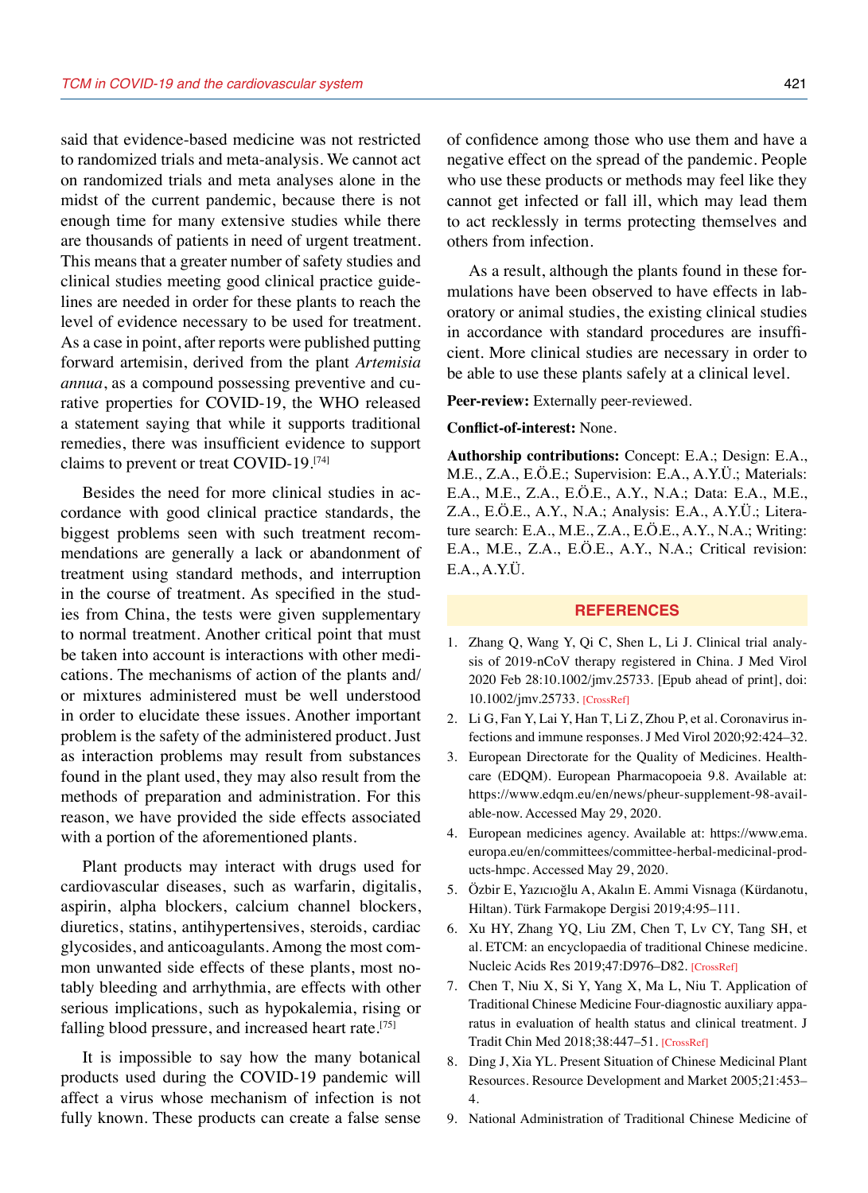said that evidence-based medicine was not restricted to randomized trials and meta-analysis. We cannot act on randomized trials and meta analyses alone in the midst of the current pandemic, because there is not enough time for many extensive studies while there are thousands of patients in need of urgent treatment. This means that a greater number of safety studies and clinical studies meeting good clinical practice guidelines are needed in order for these plants to reach the level of evidence necessary to be used for treatment. As a case in point, after reports were published putting forward artemisin, derived from the plant *Artemisia annua*, as a compound possessing preventive and curative properties for COVID-19, the WHO released a statement saying that while it supports traditional remedies, there was insufficient evidence to support claims to prevent or treat COVID-19.[74]

Besides the need for more clinical studies in accordance with good clinical practice standards, the biggest problems seen with such treatment recommendations are generally a lack or abandonment of treatment using standard methods, and interruption in the course of treatment. As specified in the studies from China, the tests were given supplementary to normal treatment. Another critical point that must be taken into account is interactions with other medications. The mechanisms of action of the plants and/ or mixtures administered must be well understood in order to elucidate these issues. Another important problem is the safety of the administered product. Just as interaction problems may result from substances found in the plant used, they may also result from the methods of preparation and administration. For this reason, we have provided the side effects associated with a portion of the aforementioned plants.

Plant products may interact with drugs used for cardiovascular diseases, such as warfarin, digitalis, aspirin, alpha blockers, calcium channel blockers, diuretics, statins, antihypertensives, steroids, cardiac glycosides, and anticoagulants. Among the most common unwanted side effects of these plants, most notably bleeding and arrhythmia, are effects with other serious implications, such as hypokalemia, rising or falling blood pressure, and increased heart rate.<sup>[75]</sup>

It is impossible to say how the many botanical products used during the COVID-19 pandemic will affect a virus whose mechanism of infection is not fully known. These products can create a false sense of confidence among those who use them and have a negative effect on the spread of the pandemic. People who use these products or methods may feel like they cannot get infected or fall ill, which may lead them to act recklessly in terms protecting themselves and others from infection.

As a result, although the plants found in these formulations have been observed to have effects in laboratory or animal studies, the existing clinical studies in accordance with standard procedures are insufficient. More clinical studies are necessary in order to be able to use these plants safely at a clinical level.

**Peer-review:** Externally peer-reviewed.

#### **Conflict-of-interest:** None.

**Authorship contributions:** Concept: E.A.; Design: E.A., M.E., Z.A., E.Ö.E.; Supervision: E.A., A.Y.Ü.; Materials: E.A., M.E., Z.A., E.Ö.E., A.Y., N.A.; Data: E.A., M.E., Z.A., E.Ö.E., A.Y., N.A.; Analysis: E.A., A.Y.Ü.; Literature search: E.A., M.E., Z.A., E.Ö.E., A.Y., N.A.; Writing: E.A., M.E., Z.A., E.Ö.E., A.Y., N.A.; Critical revision: E.A., A.Y.Ü.

#### **REFERENCES**

- 1. Zhang Q, Wang Y, Qi C, Shen L, Li J. Clinical trial analysis of 2019-nCoV therapy registered in China. J Med Virol 2020 Feb 28:10.1002/jmv.25733. [Epub ahead of print], doi: 10.1002/jmv.2573[3. \[CrossRef\]](https://doi.org/10.1002/jmv.25733)
- 2. Li G, Fan Y, Lai Y, Han T, Li Z, Zhou P, et al. Coronavirus infections and immune response[s. J Med Virol 2020;92:424–32.](https://doi.org/10.1002/jmv.25685)
- 3. European Directorate for the Quality of Medicines. Healthcare (EDQM). European Pharmacopoeia 9.8. Available at: https://www.edqm.eu/en/news/pheur-supplement-98-available-now. Accessed May 29, 2020.
- 4. European medicines agency. Available at: https://www.ema. europa.eu/en/committees/committee-herbal-medicinal-products-hmpc. Accessed May 29, 2020.
- 5. Özbir E, Yazıcıoğlu A, Akalın E. Ammi Visnaga (Kürdanotu, Hiltan). Türk Farmakope Dergisi 2019;4:95–111.
- 6. Xu HY, Zhang YQ, Liu ZM, Chen T, Lv CY, Tang SH, et al. ETCM: an encyclopaedia of traditional Chinese medicine. Nucleic Acids Res 2019;47:D976–D82[. \[CrossRef\]](https://doi.org/10.1093/nar/gky987)
- 7. Chen T, Niu X, Si Y, Yang X, Ma L, Niu T. Application of Traditional Chinese Medicine Four-diagnostic auxiliary apparatus in evaluation of health status and clinical treatment. J Tradit Chin Med 2018;38:447–5[1. \[CrossRef\]](https://doi.org/10.1016/S0254-6272(18)30637-X)
- 8. Ding J, Xia YL. Present Situation of Chinese Medicinal Plant Resources. Resource Development and Market 2005;21:453– 4.
- 9. National Administration of Traditional Chinese Medicine of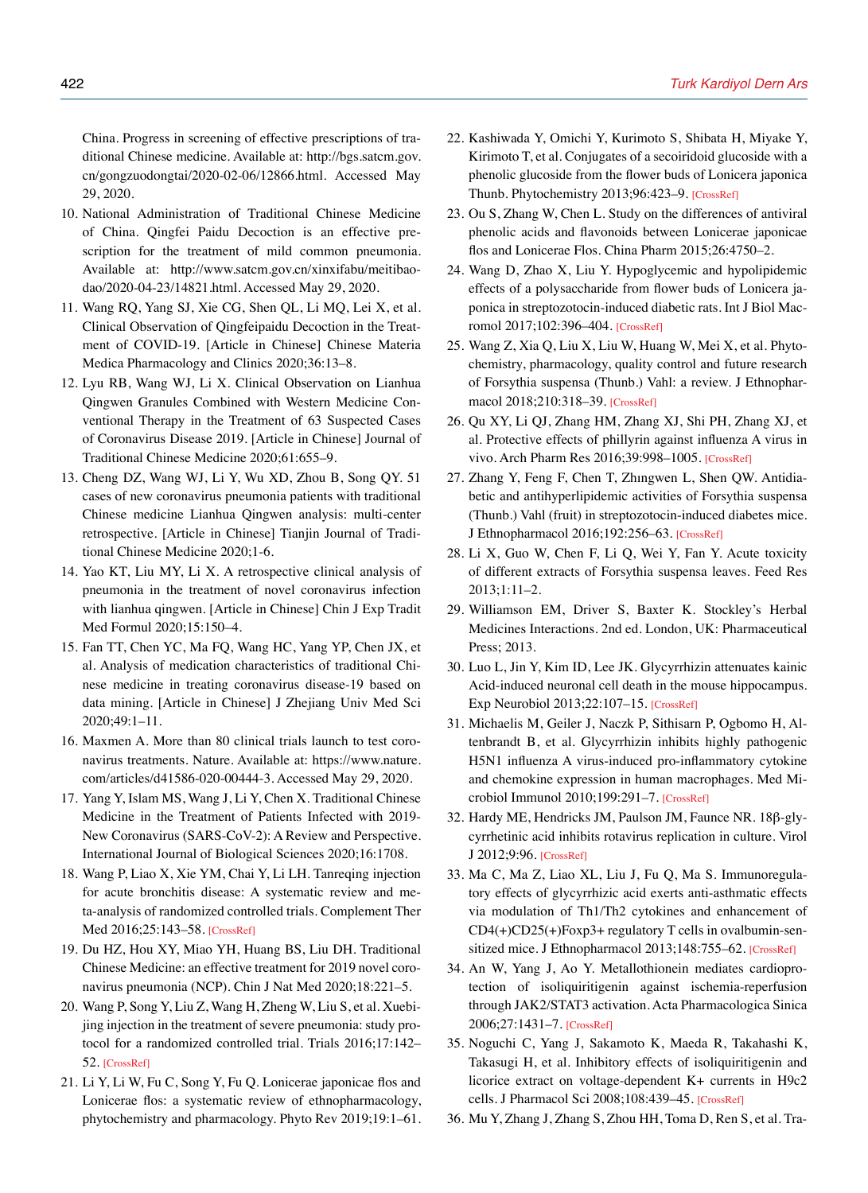China. Progress in screening of effective prescriptions of traditional Chinese medicine. Available at: http://bgs.satcm.gov. cn/gongzuodongtai/2020-02-06/12866.html. Accessed May 29, 2020.

- 10. National Administration of Traditional Chinese Medicine of China. Qingfei Paidu Decoction is an effective prescription for the treatment of mild common pneumonia. Available at: http://www.satcm.gov.cn/xinxifabu/meitibaodao/2020-04-23/14821.html. Accessed May 29, 2020.
- 11. Wang RQ, Yang SJ, Xie CG, Shen QL, Li MQ, Lei X, et al. Clinical Observation of Qingfeipaidu Decoction in the Treatment of COVID-19. [Article in Chinese] Chinese Materia Medica Pharmacology and Clinics 2020;36:13–8.
- 12. Lyu RB, Wang WJ, Li X. Clinical Observation on Lianhua Qingwen Granules Combined with Western Medicine Conventional Therapy in the Treatment of 63 Suspected Cases of Coronavirus Disease 2019. [Article in Chinese] Journal of Traditional Chinese Medicine 2020;61:655–9.
- 13. Cheng DZ, Wang WJ, Li Y, Wu XD, Zhou B, Song QY. 51 cases of new coronavirus pneumonia patients with traditional Chinese medicine Lianhua Qingwen analysis: multi-center retrospective. [Article in Chinese] Tianjin Journal of Traditional Chinese Medicine 2020;1-6.
- 14. Yao KT, Liu MY, Li X. A retrospective clinical analysis of pneumonia in the treatment of novel coronavirus infection with lianhua qingwen. [Article in Chinese] Chin J Exp Tradit Med Formul 2020;15:150–4.
- 15. Fan TT, Chen YC, Ma FQ, Wang HC, Yang YP, Chen JX, et al. Analysis of medication characteristics of traditional Chinese medicine in treating coronavirus disease-19 based on data mining. [Article in Chinese] J Zhejiang Univ Med Sci 2020;49:1–11.
- 16. Maxmen A. More than 80 clinical trials launch to test coronavirus treatments. Nature. Available at: https://www.nature. com/articles/d41586-020-00444-3. Accessed May 29, 2020.
- 17. Yang Y, Islam MS, Wang J, Li Y, Chen X. Traditional Chinese Medicine in the Treatment of Patients Infected with 2019- New Coronavirus (SARS-CoV-2): A Review and Perspective. [International Journal of Biological Sciences 2020;16:1708.](https://doi.org/10.7150/ijbs.45538)
- 18. Wang P, Liao X, Xie YM, Chai Y, Li LH. Tanreqing injection for acute bronchitis disease: A systematic review and meta-analysis of randomized controlled trials. Complement Ther Med 2016;25:143–58[. \[CrossRef\]](https://doi.org/10.1016/j.ctim.2016.02.008)
- 19. Du HZ, Hou XY, Miao YH, Huang BS, Liu DH. Traditional Chinese Medicine: an effective treatment for 2019 novel coronavirus pneumonia (NCP). [Chin J Nat Med 2020;18:221–5.](https://doi.org/10.1016/S1875-5364(20)30022-4)
- 20. Wang P, Song Y, Liu Z, Wang H, Zheng W, Liu S, et al. Xuebijing injection in the treatment of severe pneumonia: study protocol for a randomized controlled trial. Trials 2016;17:142– 52. [\[CrossRef\]](https://doi.org/10.1186/s13063-016-1282-8)
- 21. Li Y, Li W, Fu C, Song Y, Fu Q. Lonicerae japonicae flos and Lonicerae flos: a systematic review of ethnopharmacology, phytochemistry and pharmacology. [Phyto Rev 2019;19:1–61.](https://doi.org/10.1007/s11101-019-09655-7)
- 22. Kashiwada Y, Omichi Y, Kurimoto S, Shibata H, Miyake Y, Kirimoto T, et al. Conjugates of a secoiridoid glucoside with a phenolic glucoside from the flower buds of Lonicera japonica Thunb. Phytochemistry 2013;96:423–[9. \[CrossRef\]](https://doi.org/10.1016/j.phytochem.2013.09.021)
- 23. Ou S, Zhang W, Chen L. Study on the differences of antiviral phenolic acids and flavonoids between Lonicerae japonicae flos and Lonicerae Flos. China Pharm 2015;26:4750–2.
- 24. Wang D, Zhao X, Liu Y. Hypoglycemic and hypolipidemic effects of a polysaccharide from flower buds of Lonicera japonica in streptozotocin-induced diabetic rats. Int J Biol Macromol 2017;102:396–404[. \[CrossRef\]](https://doi.org/10.1016/j.ijbiomac.2017.04.056)
- 25. Wang Z, Xia Q, Liu X, Liu W, Huang W, Mei X, et al. Phytochemistry, pharmacology, quality control and future research of Forsythia suspensa (Thunb.) Vahl: a review. J Ethnopharmacol 2018;210:318–39[. \[CrossRef\]](https://doi.org/10.1016/j.jep.2017.08.040)
- 26. Qu XY, Li QJ, Zhang HM, Zhang XJ, Shi PH, Zhang XJ, et al. Protective effects of phillyrin against influenza A virus in vivo. Arch Pharm Res 2016;39:998–100[5. \[CrossRef\]](https://doi.org/10.1007/s12272-016-0775-z)
- 27. Zhang Y, Feng F, Chen T, Zhıngwen L, Shen QW. Antidiabetic and antihyperlipidemic activities of Forsythia suspensa (Thunb.) Vahl (fruit) in streptozotocin-induced diabetes mice. J Ethnopharmacol 2016;192:256–6[3. \[CrossRef\]](https://doi.org/10.1016/j.jep.2016.07.002)
- 28. Li X, Guo W, Chen F, Li Q, Wei Y, Fan Y. Acute toxicity of different extracts of Forsythia suspensa leaves. Feed Res 2013;1:11–2.
- 29. Williamson EM, Driver S, Baxter K. Stockley's Herbal Medicines Interactions. 2nd ed. London, UK: Pharmaceutical Press; 2013.
- 30. Luo L, Jin Y, Kim ID, Lee JK. Glycyrrhizin attenuates kainic Acid-induced neuronal cell death in the mouse hippocampus. Exp Neurobiol 2013;22:107–1[5. \[CrossRef\]](https://doi.org/10.5607/en.2013.22.2.107)
- 31. Michaelis M, Geiler J, Naczk P, Sithisarn P, Ogbomo H, Altenbrandt B, et al. Glycyrrhizin inhibits highly pathogenic H5N1 influenza A virus-induced pro-inflammatory cytokine and chemokine expression in human macrophages. Med Microbiol Immunol 2010;199:291–7[. \[CrossRef\]](https://doi.org/10.1007/s00430-010-0155-0)
- 32. Hardy ME, Hendricks JM, Paulson JM, Faunce NR. 18β-glycyrrhetinic acid inhibits rotavirus replication in culture. Virol J 2012;9:96[. \[CrossRef\]](https://doi.org/10.1186/1743-422X-9-96)
- 33. Ma C, Ma Z, Liao XL, Liu J, Fu Q, Ma S. Immunoregulatory effects of glycyrrhizic acid exerts anti-asthmatic effects via modulation of Th1/Th2 cytokines and enhancement of  $CD4(+)CD25(+)Foxp3+$  regulatory T cells in ovalbumin-sen-sitized mice. J Ethnopharmacol 2013;148:755–62. [\[CrossRef\]](https://doi.org/10.1016/j.jep.2013.04.021)
- 34. An W, Yang J, Ao Y. Metallothionein mediates cardioprotection of isoliquiritigenin against ischemia-reperfusion through JAK2/STAT3 activation. Acta Pharmacologica Sinica 2006;27:1431–7. [\[CrossRef\]](https://doi.org/10.1111/j.1745-7254.2006.00419.x)
- 35. Noguchi C, Yang J, Sakamoto K, Maeda R, Takahashi K, Takasugi H, et al. Inhibitory effects of isoliquiritigenin and licorice extract on voltage-dependent K+ currents in H9c2 cells. J Pharmacol Sci 2008;108:439–45[. \[CrossRef\]](https://doi.org/10.1254/jphs.08227FP)
- 36. Mu Y, Zhang J, Zhang S, Zhou HH, Toma D, Ren S, et al. Tra-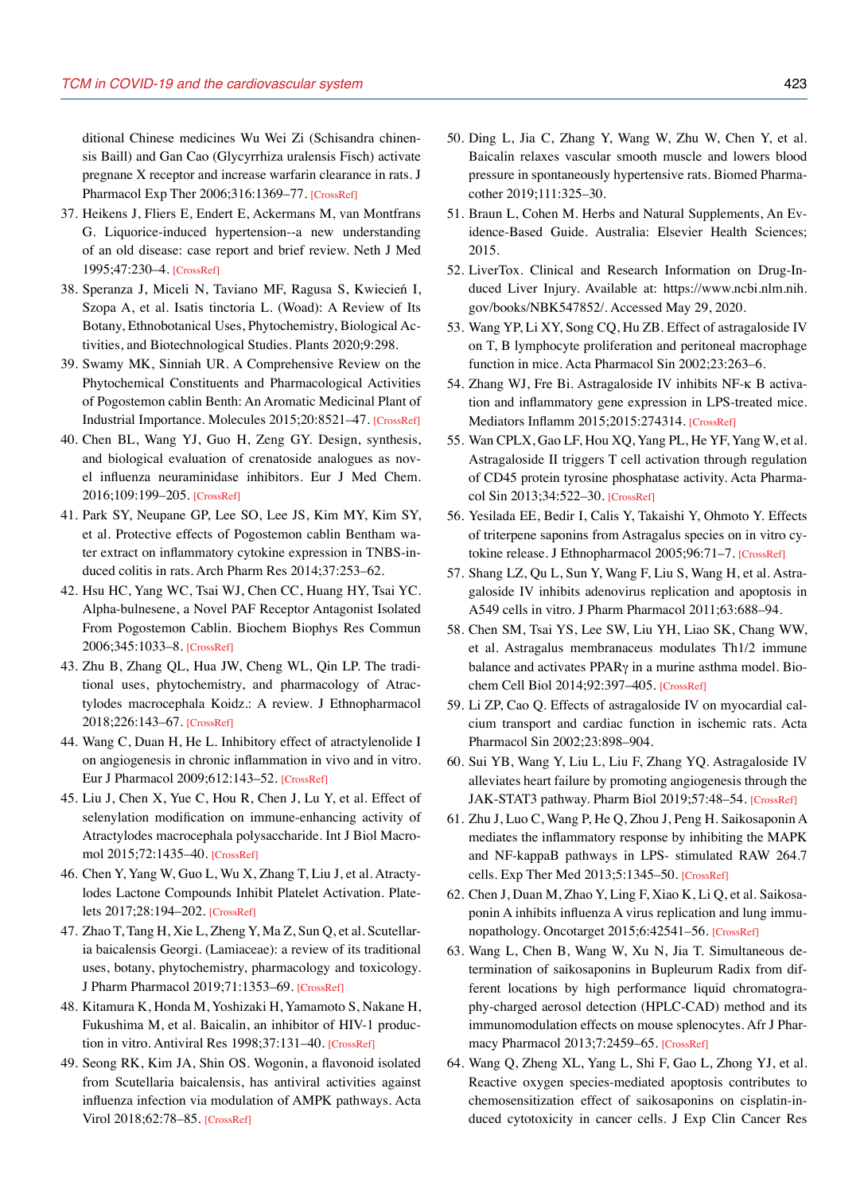ditional Chinese medicines Wu Wei Zi (Schisandra chinensis Baill) and Gan Cao (Glycyrrhiza uralensis Fisch) activate pregnane X receptor and increase warfarin clearance in rats. J Pharmacol Exp Ther 2006;316:1369–7[7. \[CrossRef\]](https://doi.org/10.1124/jpet.105.094342)

- 37. Heikens J, Fliers E, Endert E, Ackermans M, van Montfrans G. Liquorice-induced hypertension--a new understanding of an old disease: case report and brief review. Neth J Med 1995;47:230–4. [\[CrossRef\]](https://doi.org/10.1016/0300-2977(95)00015-5)
- 38. Speranza J, Miceli N, Taviano MF, Ragusa S, Kwiecień I, Szopa A, et al. Isatis tinctoria L. (Woad): A Review of Its Botany, Ethnobotanical Uses, Phytochemistry, Biological Activities, and Biotechnological [Studies. Plants 2020;9:298.](https://doi.org/10.3390/plants9030298)
- 39. Swamy MK, Sinniah UR. A Comprehensive Review on the Phytochemical Constituents and Pharmacological Activities of Pogostemon cablin Benth: An Aromatic Medicinal Plant of Industrial Importance. Molecules 2015;20:8521–47[. \[CrossRef\]](https://doi.org/10.3390/molecules20058521)
- 40. Chen BL, Wang YJ, Guo H, Zeng GY. Design, synthesis, and biological evaluation of crenatoside analogues as novel influenza neuraminidase inhibitors. Eur J Med Chem. 2016;109:199–20[5. \[CrossRef\]](https://doi.org/10.1016/j.ejmech.2015.12.031)
- 41. Park SY, Neupane GP, Lee SO, Lee JS, Kim MY, Kim SY, et al. Protective effects of Pogostemon cablin Bentham water extract on inflammatory cytokine expression in TNBS-induced colitis in rats. [Arch Pharm Res 2014;37:253–62.](https://doi.org/10.1007/s12272-013-0260-x)
- 42. Hsu HC, Yang WC, Tsai WJ, Chen CC, Huang HY, Tsai YC. Alpha-bulnesene, a Novel PAF Receptor Antagonist Isolated From Pogostemon Cablin. Biochem Biophys Res Commun 2006;345:1033–[8. \[CrossRef\]](https://doi.org/10.1016/j.bbrc.2006.05.006)
- 43. Zhu B, Zhang QL, Hua JW, Cheng WL, Qin LP. The traditional uses, phytochemistry, and pharmacology of Atractylodes macrocephala Koidz.: A review. J Ethnopharmacol 2018;226:143–67[. \[CrossRef\]](https://doi.org/10.1016/j.jep.2018.08.023)
- 44. Wang C, Duan H, He L. Inhibitory effect of atractylenolide I on angiogenesis in chronic inflammation in vivo and in vitro. Eur J Pharmacol 2009;612:143–52[. \[CrossRef\]](https://doi.org/10.1016/j.ejphar.2009.04.001)
- 45. Liu J, Chen X, Yue C, Hou R, Chen J, Lu Y, et al. Effect of selenylation modification on immune-enhancing activity of Atractylodes macrocephala polysaccharide. Int J Biol Macromol 2015;72:1435–4[0. \[CrossRef\]](https://doi.org/10.1016/j.ijbiomac.2014.10.022)
- 46. Chen Y, Yang W, Guo L, Wu X, Zhang T, Liu J, et al. Atractylodes Lactone Compounds Inhibit Platelet Activation. Platelets 2017;28:194–202[. \[CrossRef\]](https://doi.org/10.1080/09537104.2016.1209477)
- 47. Zhao T, Tang H, Xie L, Zheng Y, Ma Z, Sun Q, et al. Scutellaria baicalensis Georgi. (Lamiaceae): a review of its traditional uses, botany, phytochemistry, pharmacology and toxicology. J Pharm Pharmacol 2019;71:1353–69[. \[CrossRef\]](https://doi.org/10.1111/jphp.13129)
- 48. Kitamura K, Honda M, Yoshizaki H, Yamamoto S, Nakane H, Fukushima M, et al. Baicalin, an inhibitor of HIV-1 produc-tion in vitro. Antiviral Res 1998;37:131-4[0. \[CrossRef\]](https://doi.org/10.1016/S0166-3542(97)00069-7)
- 49. Seong RK, Kim JA, Shin OS. Wogonin, a flavonoid isolated from Scutellaria baicalensis, has antiviral activities against influenza infection via modulation of AMPK pathways. Acta Virol 2018;62:78–85[. \[CrossRef\]](https://doi.org/10.4149/av_2018_109)
- 50. Ding L, Jia C, Zhang Y, Wang W, Zhu W, Chen Y, et al. Baicalin relaxes vascular smooth muscle and lowers blood [pressure in spontaneously hypertensive rats. Biomed Pharma](https://doi.org/10.1016/j.biopha.2018.12.086)cother 2019;111:325–30.
- 51. Braun L, Cohen M. Herbs and Natural Supplements, An Evidence-Based Guide. Australia: Elsevier Health Sciences; 2015.
- 52. LiverTox. Clinical and Research Information on Drug-Induced Liver Injury. Available at: https://www.ncbi.nlm.nih. gov/books/NBK547852/. Accessed May 29, 2020.
- 53. Wang YP, Li XY, Song CQ, Hu ZB. Effect of astragaloside IV on T, B lymphocyte proliferation and peritoneal macrophage function in mice. Acta Pharmacol Sin 2002;23:263–6.
- 54. Zhang WJ, Fre Bi. Astragaloside IV inhibits NF-κ B activation and inflammatory gene expression in LPS-treated mice. Mediators Inflamm 2015;2015:274314. [\[CrossRef\]](https://doi.org/10.1155/2015/274314)
- 55. Wan CPLX, Gao LF, Hou XQ, Yang PL, He YF, Yang W, et al. Astragaloside II triggers T cell activation through regulation of CD45 protein tyrosine phosphatase activity. Acta Pharmacol Sin 2013;34:522–30[. \[CrossRef\]](https://doi.org/10.1038/aps.2012.208)
- 56. Yesilada EE, Bedir I, Calis Y, Takaishi Y, Ohmoto Y. Effects of triterpene saponins from Astragalus species on in vitro cytokine release. J Ethnopharmacol 2005;96:71–7[. \[CrossRef\]](https://doi.org/10.1016/j.jep.2004.08.036)
- 57. Shang LZ, Qu L, Sun Y, Wang F, Liu S, Wang H, et al. Astragaloside IV inhibits adenovirus replication and apoptosis in A549 cells in vitr[o. J Pharm Pharmacol 2011;63:688–94.](https://doi.org/10.1111/j.2042-7158.2011.01258.x)
- 58. Chen SM, Tsai YS, Lee SW, Liu YH, Liao SK, Chang WW, et al. Astragalus membranaceus modulates Th1/2 immune balance and activates PPARγ in a murine asthma model. Biochem Cell Biol 2014;92:397–405. [\[CrossRef\]](https://doi.org/10.1139/bcb-2014-0008)
- 59. Li ZP, Cao Q. Effects of astragaloside IV on myocardial calcium transport and cardiac function in ischemic rats. Acta Pharmacol Sin 2002;23:898–904.
- 60. Sui YB, Wang Y, Liu L, Liu F, Zhang YQ. Astragaloside IV alleviates heart failure by promoting angiogenesis through the JAK-STAT3 pathway. Pharm Biol 2019;57:48–5[4. \[CrossRef\]](https://doi.org/10.1080/13880209.2019.1569697)
- 61. Zhu J, Luo C, Wang P, He Q, Zhou J, Peng H. Saikosaponin A mediates the inflammatory response by inhibiting the MAPK and NF-kappaB pathways in LPS- stimulated RAW 264.7 cells. Exp Ther Med 2013;5:1345–50[. \[CrossRef\]](https://doi.org/10.3892/etm.2013.988)
- 62. Chen J, Duan M, Zhao Y, Ling F, Xiao K, Li Q, et al. Saikosaponin A inhibits influenza A virus replication and lung immunopathology. Oncotarget 2015;6:42541–56[. \[CrossRef\]](https://doi.org/10.18632/oncotarget.6448)
- 63. Wang L, Chen B, Wang W, Xu N, Jia T. Simultaneous determination of saikosaponins in Bupleurum Radix from different locations by high performance liquid chromatography-charged aerosol detection (HPLC-CAD) method and its immunomodulation effects on mouse splenocytes. Afr J Pharmacy Pharmacol 2013;7:2459–6[5. \[CrossRef\]](https://doi.org/10.5897/AJPP12.1213)
- 64. Wang Q, Zheng XL, Yang L, Shi F, Gao L, Zhong YJ, et al. Reactive oxygen species-mediated apoptosis contributes to chemosensitization effect of saikosaponins on cisplatin-induced cytotoxicity in cancer cells. J Exp Clin Cancer Res